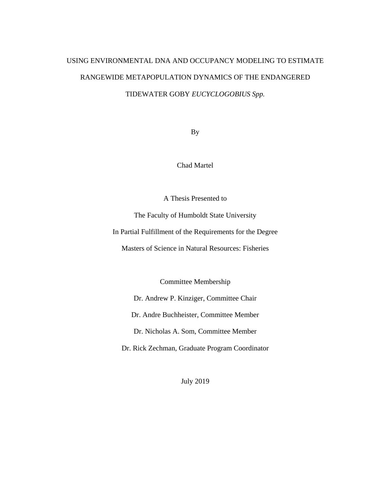# USING ENVIRONMENTAL DNA AND OCCUPANCY MODELING TO ESTIMATE RANGEWIDE METAPOPULATION DYNAMICS OF THE ENDANGERED TIDEWATER GOBY *EUCYCLOGOBIUS Spp.*

By

Chad Martel

A Thesis Presented to

The Faculty of Humboldt State University

In Partial Fulfillment of the Requirements for the Degree

Masters of Science in Natural Resources: Fisheries

Committee Membership

Dr. Andrew P. Kinziger, Committee Chair

Dr. Andre Buchheister, Committee Member

Dr. Nicholas A. Som, Committee Member

Dr. Rick Zechman, Graduate Program Coordinator

July 2019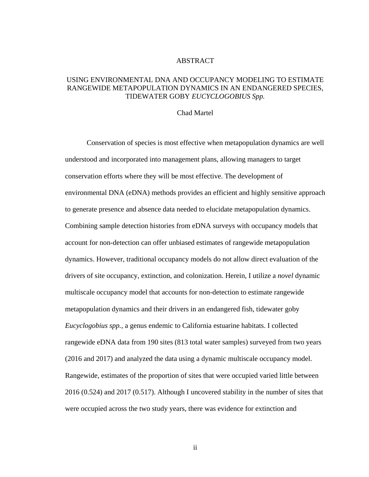### ABSTRACT

### <span id="page-1-0"></span>USING ENVIRONMENTAL DNA AND OCCUPANCY MODELING TO ESTIMATE RANGEWIDE METAPOPULATION DYNAMICS IN AN ENDANGERED SPECIES, TIDEWATER GOBY *EUCYCLOGOBIUS Spp.*

#### Chad Martel

Conservation of species is most effective when metapopulation dynamics are well understood and incorporated into management plans, allowing managers to target conservation efforts where they will be most effective. The development of environmental DNA (eDNA) methods provides an efficient and highly sensitive approach to generate presence and absence data needed to elucidate metapopulation dynamics. Combining sample detection histories from eDNA surveys with occupancy models that account for non-detection can offer unbiased estimates of rangewide metapopulation dynamics. However, traditional occupancy models do not allow direct evaluation of the drivers of site occupancy, extinction, and colonization. Herein, I utilize a *novel* dynamic multiscale occupancy model that accounts for non-detection to estimate rangewide metapopulation dynamics and their drivers in an endangered fish, tidewater goby *Eucyclogobius spp.*, a genus endemic to California estuarine habitats. I collected rangewide eDNA data from 190 sites (813 total water samples) surveyed from two years (2016 and 2017) and analyzed the data using a dynamic multiscale occupancy model. Rangewide, estimates of the proportion of sites that were occupied varied little between 2016 (0.524) and 2017 (0.517). Although I uncovered stability in the number of sites that were occupied across the two study years, there was evidence for extinction and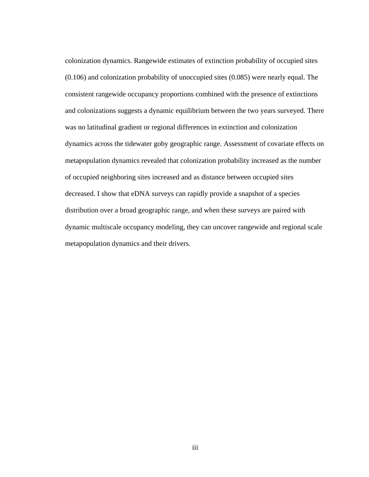colonization dynamics. Rangewide estimates of extinction probability of occupied sites (0.106) and colonization probability of unoccupied sites (0.085) were nearly equal. The consistent rangewide occupancy proportions combined with the presence of extinctions and colonizations suggests a dynamic equilibrium between the two years surveyed. There was no latitudinal gradient or regional differences in extinction and colonization dynamics across the tidewater goby geographic range. Assessment of covariate effects on metapopulation dynamics revealed that colonization probability increased as the number of occupied neighboring sites increased and as distance between occupied sites decreased. I show that eDNA surveys can rapidly provide a snapshot of a species distribution over a broad geographic range, and when these surveys are paired with dynamic multiscale occupancy modeling, they can uncover rangewide and regional scale metapopulation dynamics and their drivers.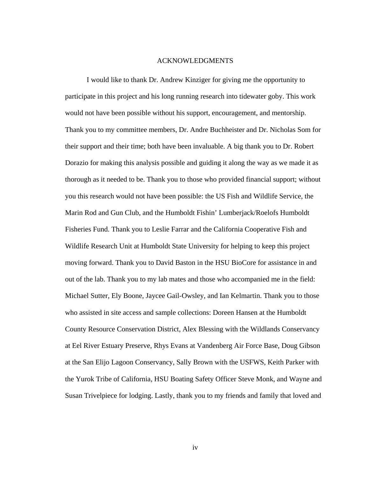#### ACKNOWLEDGMENTS

<span id="page-3-0"></span>I would like to thank Dr. Andrew Kinziger for giving me the opportunity to participate in this project and his long running research into tidewater goby. This work would not have been possible without his support, encouragement, and mentorship. Thank you to my committee members, Dr. Andre Buchheister and Dr. Nicholas Som for their support and their time; both have been invaluable. A big thank you to Dr. Robert Dorazio for making this analysis possible and guiding it along the way as we made it as thorough as it needed to be. Thank you to those who provided financial support; without you this research would not have been possible: the US Fish and Wildlife Service, the Marin Rod and Gun Club, and the Humboldt Fishin' Lumberjack/Roelofs Humboldt Fisheries Fund. Thank you to Leslie Farrar and the California Cooperative Fish and Wildlife Research Unit at Humboldt State University for helping to keep this project moving forward. Thank you to David Baston in the HSU BioCore for assistance in and out of the lab. Thank you to my lab mates and those who accompanied me in the field: Michael Sutter, Ely Boone, Jaycee Gail-Owsley, and Ian Kelmartin. Thank you to those who assisted in site access and sample collections: Doreen Hansen at the Humboldt County Resource Conservation District, Alex Blessing with the Wildlands Conservancy at Eel River Estuary Preserve, Rhys Evans at Vandenberg Air Force Base, Doug Gibson at the San Elijo Lagoon Conservancy, Sally Brown with the USFWS, Keith Parker with the Yurok Tribe of California, HSU Boating Safety Officer Steve Monk, and Wayne and Susan Trivelpiece for lodging. Lastly, thank you to my friends and family that loved and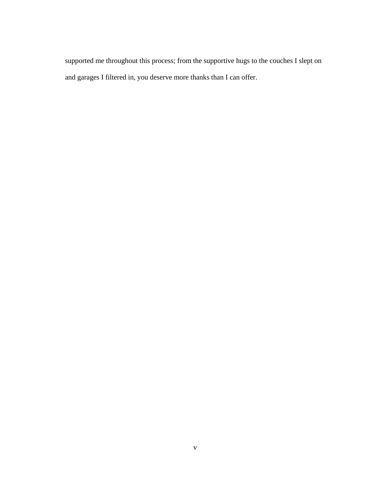supported me throughout this process; from the supportive hugs to the couches I slept on and garages I filtered in, you deserve more thanks than I can offer.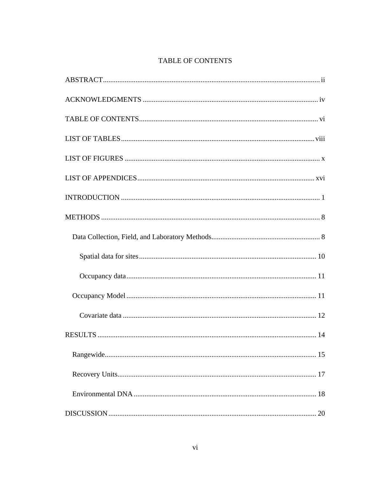# TABLE OF CONTENTS

<span id="page-5-0"></span>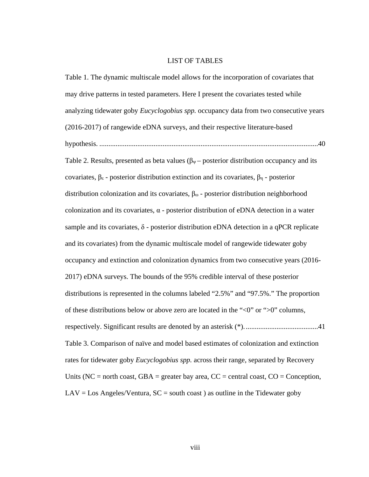#### LIST OF TABLES

<span id="page-7-0"></span>Table 1. [The dynamic multiscale model allows for the incorporation of covariates that](#page-55-0)  [may drive patterns in tested parameters. Here I present the covariates tested while](#page-55-0)  analyzing tidewater goby *Eucyclogobius spp.* [occupancy data from two consecutive years](#page-55-0)  [\(2016-2017\) of rangewide eDNA surveys, and their respective literature-based](#page-55-0)  hypothesis. [.........................................................................................................................40](#page-55-0) Table 2. Results, presented as beta values ( $\beta_{\psi}$  – posterior distribution occupancy and its covariates, βε - [posterior distribution extinction and its covariates,](#page-56-0) βη - posterior [distribution colonization and its covariates,](#page-56-0) βω - posterior distribution neighborhood colonization and its covariates,  $\alpha$  - posterior distribution of eDNA detection in a water sample and its covariates,  $\delta$  - posterior distribution eDNA detection in a qPCR replicate and its covariates) [from the dynamic multiscale model of rangewide tidewater goby](#page-56-0)  [occupancy and extinction and colonization dynamics from two consecutive years \(2016-](#page-56-0) [2017\) eDNA surveys. The bounds of the 95% credible interval of these posterior](#page-56-0)  [distributions is represented in the columns labeled "2.5%" and "97.5%." The proportion](#page-56-0)  of these distributions below or above zero are located in the " $\langle 0$ " or " $>0$ " columns, [respectively. Significant results are denoted by an asterisk \(\\*\).........................................41](#page-56-0) Table 3. [Comparison of naïve and model based estimates of colonization and extinction](#page-57-0)  rates for tidewater goby *Eucyclogobius spp.* [across their range, separated by Recovery](#page-57-0)  Units (NC = north coast, GBA = greater bay area,  $CC$  = central coast,  $CO$  = Conception,  $LAV = Los Angeles/  
Ventura,  $SC = south coast$ ) as outline in the Tidewater goby$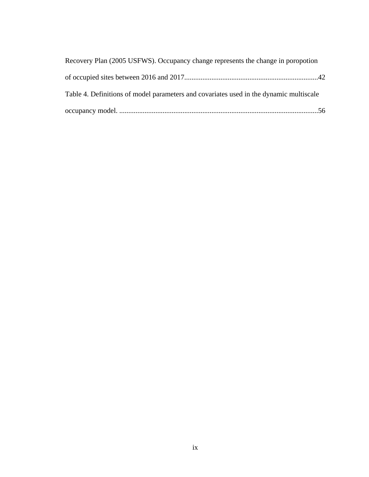| Recovery Plan (2005 USFWS). Occupancy change represents the change in poropotion       |  |
|----------------------------------------------------------------------------------------|--|
|                                                                                        |  |
| Table 4. Definitions of model parameters and covariates used in the dynamic multiscale |  |
|                                                                                        |  |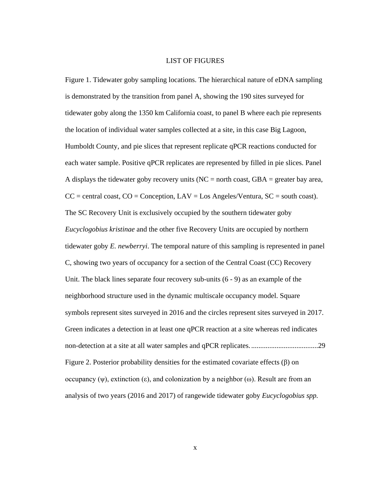#### LIST OF FIGURES

<span id="page-9-0"></span>Figure 1. [Tidewater goby sampling locations. The hierarchical nature of eDNA sampling](#page-44-1)  [is demonstrated by the transition from panel A, showing the 190 sites surveyed for](#page-44-1)  [tidewater goby along the 1350 km California coast, to panel B where each pie represents](#page-44-1)  [the location of individual water samples collected at a site, in this case Big Lagoon,](#page-44-1)  [Humboldt County, and pie slices that represent replicate qPCR reactions conducted for](#page-44-1)  [each water sample. Positive qPCR replicates are represented by filled in pie slices. Panel](#page-44-1)  A displays the tidewater goby recovery units ( $NC =$  north coast,  $GBA =$  greater bay area,  $CC =$  central coast,  $CO =$  Conception,  $LAV =$  Los Angeles/Ventura,  $SC =$  south coast). [The SC Recovery Unit is exclusively occupied by the southern tidewater goby](#page-44-1)  *Eucyclogobius kristinae* [and the other five Recovery Units are occupied by northern](#page-44-1)  tidewater goby *E. newberryi*[. The temporal nature of this sampling is represented in panel](#page-44-1)  [C, showing two years of occupancy for a section of the Central Coast \(CC\) Recovery](#page-44-1)  [Unit. The black lines separate four recovery sub-units \(6 -](#page-44-1) 9) as an example of the [neighborhood structure used in the dynamic multiscale occupancy model. Square](#page-44-1)  [symbols represent sites surveyed in 2016 and the circles represent sites surveyed in 2017.](#page-44-1)  Green indicates a detection [in at least one qPCR reaction at a site whereas red indicates](#page-44-1)  [non-detection at a site at all water samples and qPCR replicates......................................29](#page-44-1) Figure 2. [Posterior probability densities for the estimated covariate effects \(](#page-45-0)β) on [occupancy \(ψ\), extinction \(ε\), and colonization by a neighbor \(ω\). Result are from an](#page-45-0)  [analysis of two years \(2016 and 2017\) of rangewide tidewater goby](#page-45-0) *Eucyclogobius spp.*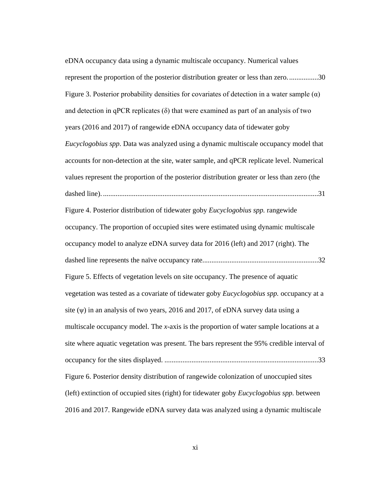[eDNA occupancy data using a dynamic multiscale occupancy. Numerical values](#page-45-0)  [represent the proportion of the posterior distribution greater or less than zero.................30](#page-45-0) Figure 3. Posterior probability densities for covariates of detection in a water sample  $(\alpha)$ and detection in qPCR replicates  $(\delta)$  that were examined as part of an analysis of two [years \(2016 and 2017\) of rangewide eDNA occupancy data of tidewater goby](#page-46-0)  *Eucyclogobius spp*[. Data was analyzed using a dynamic multiscale occupancy model that](#page-46-0)  [accounts for non-detection at the site, water sample, and qPCR replicate level. Numerical](#page-46-0)  [values represent the proportion of the posterior distribution greater or less than zero \(the](#page-46-0)  dashed line). [.......................................................................................................................31](#page-46-0) Figure 4. [Posterior distribution of tidewater goby](#page-47-0) *Eucyclogobius spp.* rangewide [occupancy. The proportion of occupied sites were estimated using dynamic multiscale](#page-47-0)  [occupancy model to analyze eDNA survey data for 2016 \(left\) and 2017 \(right\). The](#page-47-0)  [dashed line represents the naïve occupancy rate................................................................32](#page-47-0) Figure 5. [Effects of vegetation levels on site occupancy. The presence of aquatic](#page-48-0)  [vegetation was tested as a covariate of tidewater goby](#page-48-0) *Eucyclogobius spp.* occupancy at a site (ψ[\) in an analysis of two years, 2016 and 2017, of eDNA survey data using a](#page-48-0)  multiscale occupancy model. The *x*[-axis is the proportion of water sample locations at a](#page-48-0)  [site where aquatic vegetation was present. The bars represent the 95% credible interval of](#page-48-0)  occupancy for the sites displayed. [.....................................................................................33](#page-48-0) Figure 6. [Posterior density distribution of rangewide colonization of unoccupied](#page-49-0) sites [\(left\) extinction of occupied sites \(right\) for tidewater goby](#page-49-0) *Eucyclogobius spp.* between [2016 and 2017. Rangewide eDNA survey data was analyzed using a dynamic multiscale](#page-49-0)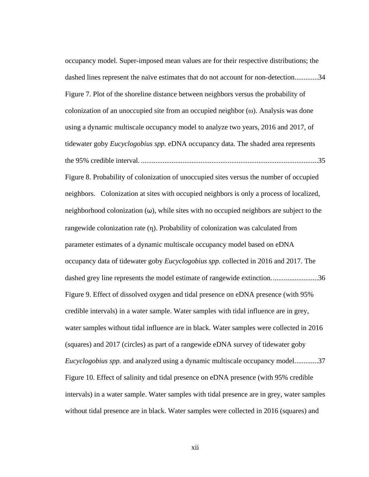[occupancy model. Super-imposed mean values are for their respective distributions; the](#page-49-0)  [dashed lines represent the naïve estimates that do not account for non-detection.............34](#page-49-0) Figure 7. [Plot of the shoreline distance between neighbors versus the probability of](#page-50-0)  colonization of an unoccupied site from an occupied neighbor  $(\omega)$ . Analysis was done [using a dynamic multiscale occupancy model to analyze two years, 2016 and 2017, of](#page-50-0)  tidewater goby *Eucyclogobius spp.* [eDNA occupancy data. The shaded area represents](#page-50-0)  the 95% credible interval. [..................................................................................................35](#page-50-0) Figure 8. [Probability of colonization of unoccupied sites versus the number of occupied](#page-51-0)  [neighbors. Colonization at sites with occupied neighbors is only a process of localized,](#page-51-0)  neighborhood colonization  $(\omega)$ , while sites with no occupied neighbors are subject to the rangewide colonization rate (η[\). Probability of colonization was calculated from](#page-51-0)  [parameter estimates of a dynamic multiscale occupancy model based on eDNA](#page-51-0)  [occupancy data of tidewater goby](#page-51-0) *Eucyclogobius spp.* collected in 2016 and 2017. The dashed grey line represents the model estimate of rangewide extinction...........................36 Figure 9. [Effect of dissolved oxygen and tidal presence on eDNA presence \(with 95%](#page-52-0)  [credible intervals\) in a water sample. Water samples with tidal influence are in grey,](#page-52-0)  [water samples without tidal influence are in black. Water samples were collected in 2016](#page-52-0)  [\(squares\) and 2017 \(circles\) as part of a rangewide eDNA survey of tidewater goby](#page-52-0)  *Eucyclogobius spp.* [and analyzed using a dynamic multiscale occupancy model.............37](#page-52-0) Figure 10. [Effect of salinity and tidal presence on eDNA presence \(with 95% credible](#page-53-0)  [intervals\) in a water sample. Water samples with tidal presence are in grey, water samples](#page-53-0)  [without tidal presence are in black. Water samples were collected in 2016 \(squares\) and](#page-53-0)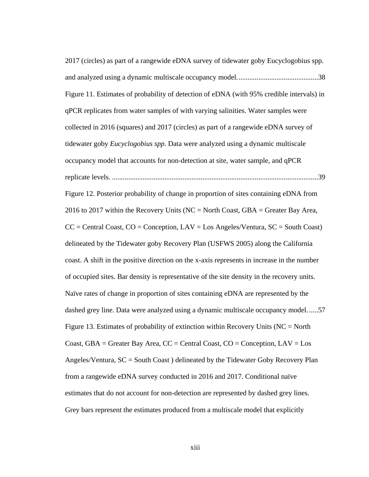[2017 \(circles\) as part of a rangewide eDNA survey of tidewater goby Eucyclogobius spp.](#page-53-0)  [and analyzed using a dynamic multiscale occupancy model.............................................38](#page-53-0) Figure 11. [Estimates of probability of detection of eDNA \(with 95% credible intervals\) in](#page-54-0)  [qPCR replicates from water samples of with varying salinities. Water samples were](#page-54-0)  [collected in 2016 \(squares\) and 2017 \(circles\) as part of a rangewide eDNA survey of](#page-54-0)  tidewater goby *Eucyclogobius spp.* [Data were analyzed using a dynamic multiscale](#page-54-0)  [occupancy model that accounts for non-detection at site, water sample, and qPCR](#page-54-0)  replicate levels. [..................................................................................................................39](#page-54-0) Figure 12. [Posterior probability of change in proportion of sites containing eDNA from](#page-72-0)  2016 to 2017 within the Recovery Units ( $NC = North Coast$ ,  $GBA = Greater Bay Area$ ,  $CC =$  Central Coast,  $CO =$  Conception,  $LAV =$  Los Angeles/Ventura,  $SC =$  South Coast) [delineated by the Tidewater goby Recovery Plan \(USFWS 2005\) along the California](#page-72-0)  [coast. A shift in the positive direction on the x-axis represents in increase in the number](#page-72-0)  [of occupied sites. Bar density is representative of the site density in the recovery units.](#page-72-0)  [Naïve rates of change in proportion of sites containing eDNA are represented by the](#page-72-0)  [dashed grey line. Data were analyzed using a dynamic multiscale occupancy model.](#page-72-0) .....57 Figure 13. Estimates of probability of extinction within Recovery Units ( $NC = North$ ) Coast,  $GBA =$  Greater Bay Area,  $CC =$  Central Coast,  $CO =$  Conception,  $LAV =$ Los [Angeles/Ventura, SC = South Coast \) delineated by the Tidewater Goby Recovery Plan](#page-73-0)  from a rangewide eDNA [survey conducted in 2016 and 2017. Conditional naïve](#page-73-0)  [estimates that do not account for non-detection are represented by dashed grey lines.](#page-73-0)  [Grey bars represent the estimates produced from a multiscale model that explicitly](#page-73-0)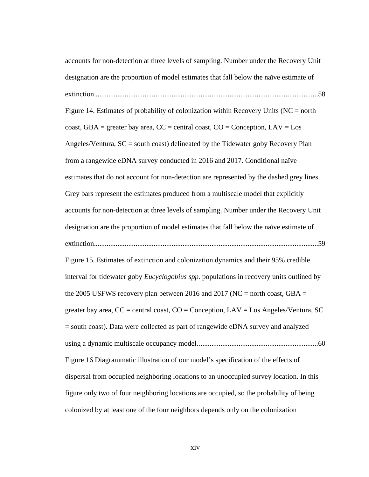[accounts for non-detection at three levels of sampling. Number under the Recovery Unit](#page-73-0)  [designation are the proportion of model estimates that fall below the naïve estimate of](#page-73-0)  [extinction............................................................................................................................58](#page-73-0) Figure 14. Estimates of probability of colonization within Recovery Units ( $NC = north$ ) coast, GBA = greater bay area,  $CC =$  central coast,  $CO =$  Conception,  $LAV = Los$ Angeles/Ventura,  $SC =$  south coast) delineated by the Tidewater goby Recovery Plan [from a rangewide eDNA survey conducted in 2016 and 2017. Conditional naïve](#page-74-0)  [estimates that do not account for non-detection are represented by the dashed grey lines.](#page-74-0)  [Grey bars represent the estimates produced from a multiscale model that explicitly](#page-74-0)  [accounts for non-detection at three levels of sampling. Number under the Recovery Unit](#page-74-0)  [designation are the proportion of model estimates that fall below the naïve estimate of](#page-74-0)  [extinction............................................................................................................................59](#page-74-0) Figure 15. [Estimates of extinction and colonization dynamics and their 95% credible](#page-75-0)  interval for tidewater goby *Eucyclogobius spp.* [populations in recovery units outlined by](#page-75-0)  the 2005 USFWS recovery plan between 2016 and 2017 (NC = north coast, GBA = greater bay area,  $CC =$  central coast,  $CO =$  Conception,  $LAV =$  Los Angeles/Ventura, SC [= south coast\). Data were collected as part of rangewide eDNA survey and analyzed](#page-75-0)  [using a dynamic multiscale occupancy model...................................................................60](#page-75-0) [Figure 16 Diagrammatic illustration of our model's specification of the effects of](#page-76-0)  [dispersal from occupied neighboring locations to an unoccupied survey location. In this](#page-76-0)  [figure only two of four neighboring locations are occupied, so the probability of being](#page-76-0)  [colonized by at least one of the four neighbors depends only on the colonization](#page-76-0)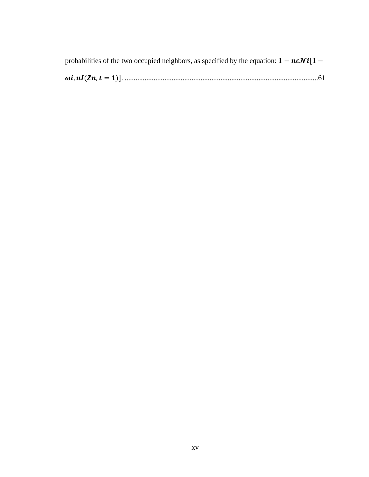| probabilities of the two occupied neighbors, as specified by the equation: $1 - n\epsilon N i[1 -$ |
|----------------------------------------------------------------------------------------------------|
|                                                                                                    |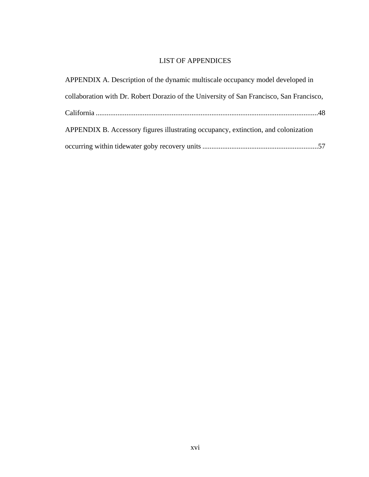# LIST OF APPENDICES

<span id="page-15-0"></span>

| APPENDIX A. Description of the dynamic multiscale occupancy model developed in           |
|------------------------------------------------------------------------------------------|
| collaboration with Dr. Robert Dorazio of the University of San Francisco, San Francisco, |
|                                                                                          |
| APPENDIX B. Accessory figures illustrating occupancy, extinction, and colonization       |
|                                                                                          |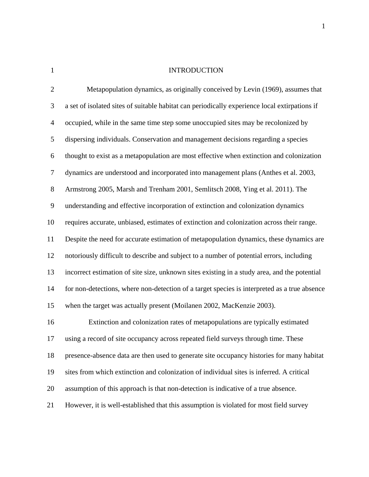<span id="page-16-0"></span>1 INTRODUCTION

| $\mathbf{2}$   | Metapopulation dynamics, as originally conceived by Levin (1969), assumes that                |
|----------------|-----------------------------------------------------------------------------------------------|
| 3              | a set of isolated sites of suitable habitat can periodically experience local extirpations if |
| $\overline{4}$ | occupied, while in the same time step some unoccupied sites may be recolonized by             |
| 5              | dispersing individuals. Conservation and management decisions regarding a species             |
| 6              | thought to exist as a metapopulation are most effective when extinction and colonization      |
| $\tau$         | dynamics are understood and incorporated into management plans (Anthes et al. 2003,           |
| $8\,$          | Armstrong 2005, Marsh and Trenham 2001, Semlitsch 2008, Ying et al. 2011). The                |
| $\mathbf{9}$   | understanding and effective incorporation of extinction and colonization dynamics             |
| 10             | requires accurate, unbiased, estimates of extinction and colonization across their range.     |
| 11             | Despite the need for accurate estimation of metapopulation dynamics, these dynamics are       |
| 12             | notoriously difficult to describe and subject to a number of potential errors, including      |
| 13             | incorrect estimation of site size, unknown sites existing in a study area, and the potential  |
| 14             | for non-detections, where non-detection of a target species is interpreted as a true absence  |
| 15             | when the target was actually present (Moilanen 2002, MacKenzie 2003).                         |
| 16             | Extinction and colonization rates of metapopulations are typically estimated                  |
| 17             | using a record of site occupancy across repeated field surveys through time. These            |
| 18             | presence-absence data are then used to generate site occupancy histories for many habitat     |
| 19             | sites from which extinction and colonization of individual sites is inferred. A critical      |
| 20             | assumption of this approach is that non-detection is indicative of a true absence.            |
| 21             | However, it is well-established that this assumption is violated for most field survey        |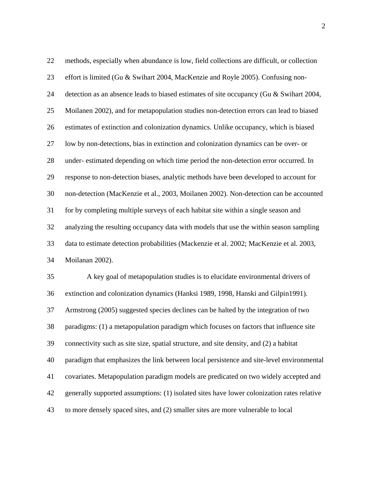methods, especially when abundance is low, field collections are difficult, or collection effort is limited (Gu & Swihart 2004, MacKenzie and Royle 2005). Confusing non- detection as an absence leads to biased estimates of site occupancy (Gu & Swihart 2004, Moilanen 2002), and for metapopulation studies non-detection errors can lead to biased estimates of extinction and colonization dynamics. Unlike occupancy, which is biased low by non-detections, bias in extinction and colonization dynamics can be over- or under- estimated depending on which time period the non-detection error occurred. In response to non-detection biases, analytic methods have been developed to account for non-detection (MacKenzie et al., 2003, Moilanen 2002). Non-detection can be accounted for by completing multiple surveys of each habitat site within a single season and analyzing the resulting occupancy data with models that use the within season sampling data to estimate detection probabilities (Mackenzie et al. 2002; MacKenzie et al. 2003, Moilanan 2002). A key goal of metapopulation studies is to elucidate environmental drivers of extinction and colonization dynamics (Hanksi 1989, 1998, Hanski and Gilpin1991).

Armstrong (2005) suggested species declines can be halted by the integration of two

paradigms: (1) a metapopulation paradigm which focuses on factors that influence site

connectivity such as site size, spatial structure, and site density, and (2) a habitat

paradigm that emphasizes the link between local persistence and site-level environmental

covariates. Metapopulation paradigm models are predicated on two widely accepted and

generally supported assumptions: (1) isolated sites have lower colonization rates relative

to more densely spaced sites, and (2) smaller sites are more vulnerable to local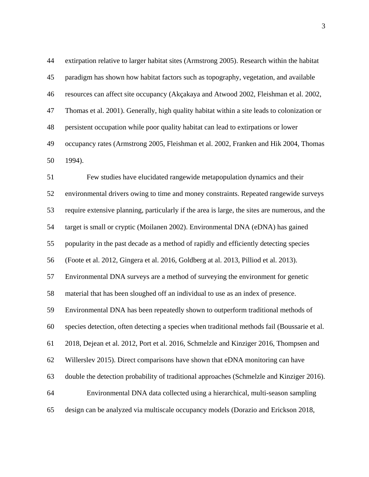extirpation relative to larger habitat sites (Armstrong 2005). Research within the habitat paradigm has shown how habitat factors such as topography, vegetation, and available resources can affect site occupancy (Akçakaya and Atwood 2002, Fleishman et al. 2002, Thomas et al. 2001). Generally, high quality habitat within a site leads to colonization or persistent occupation while poor quality habitat can lead to extirpations or lower occupancy rates (Armstrong 2005, Fleishman et al. 2002, Franken and Hik 2004, Thomas 1994).

 Few studies have elucidated rangewide metapopulation dynamics and their environmental drivers owing to time and money constraints. Repeated rangewide surveys require extensive planning, particularly if the area is large, the sites are numerous, and the target is small or cryptic (Moilanen 2002). Environmental DNA (eDNA) has gained popularity in the past decade as a method of rapidly and efficiently detecting species (Foote et al. 2012, Gingera et al. 2016, Goldberg at al. 2013, Pilliod et al. 2013). Environmental DNA surveys are a method of surveying the environment for genetic material that has been sloughed off an individual to use as an index of presence. Environmental DNA has been repeatedly shown to outperform traditional methods of species detection, often detecting a species when traditional methods fail (Boussarie et al. 2018, Dejean et al. 2012, Port et al. 2016, Schmelzle and Kinziger 2016, Thompsen and Willerslev 2015). Direct comparisons have shown that eDNA monitoring can have double the detection probability of traditional approaches (Schmelzle and Kinziger 2016). Environmental DNA data collected using a hierarchical, multi-season sampling design can be analyzed via multiscale occupancy models (Dorazio and Erickson 2018,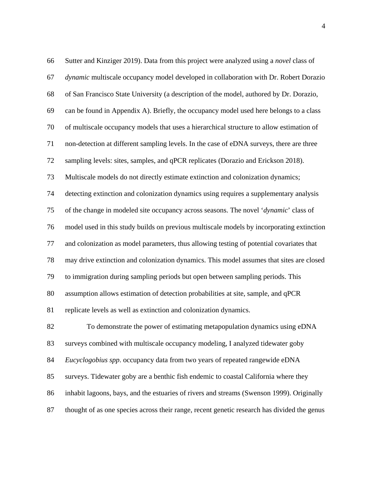| 66 | Sutter and Kinziger 2019). Data from this project were analyzed using a novel class of      |
|----|---------------------------------------------------------------------------------------------|
| 67 | dynamic multiscale occupancy model developed in collaboration with Dr. Robert Dorazio       |
| 68 | of San Francisco State University (a description of the model, authored by Dr. Dorazio,     |
| 69 | can be found in Appendix A). Briefly, the occupancy model used here belongs to a class      |
| 70 | of multiscale occupancy models that uses a hierarchical structure to allow estimation of    |
| 71 | non-detection at different sampling levels. In the case of eDNA surveys, there are three    |
| 72 | sampling levels: sites, samples, and qPCR replicates (Dorazio and Erickson 2018).           |
| 73 | Multiscale models do not directly estimate extinction and colonization dynamics;            |
| 74 | detecting extinction and colonization dynamics using requires a supplementary analysis      |
| 75 | of the change in modeled site occupancy across seasons. The novel 'dynamic' class of        |
| 76 | model used in this study builds on previous multiscale models by incorporating extinction   |
| 77 | and colonization as model parameters, thus allowing testing of potential covariates that    |
| 78 | may drive extinction and colonization dynamics. This model assumes that sites are closed    |
| 79 | to immigration during sampling periods but open between sampling periods. This              |
| 80 | assumption allows estimation of detection probabilities at site, sample, and qPCR           |
| 81 | replicate levels as well as extinction and colonization dynamics.                           |
| 82 | To demonstrate the power of estimating metapopulation dynamics using eDNA                   |
| 83 | surveys combined with multiscale occupancy modeling, I analyzed tidewater goby              |
| 84 | Eucyclogobius spp. occupancy data from two years of repeated rangewide eDNA                 |
| 85 | surveys. Tidewater goby are a benthic fish endemic to coastal California where they         |
| 86 | inhabit lagoons, bays, and the estuaries of rivers and streams (Swenson 1999). Originally   |
| 87 | thought of as one species across their range, recent genetic research has divided the genus |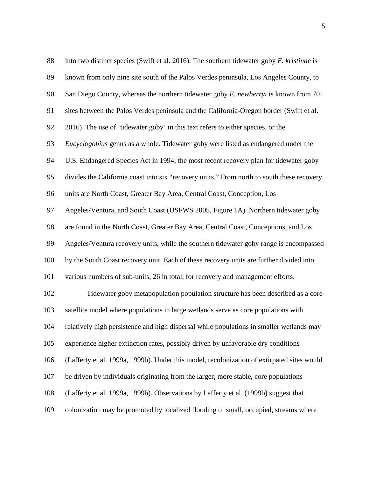| 88  | into two distinct species (Swift et al. 2016). The southern tidewater goby E. kristinae is |
|-----|--------------------------------------------------------------------------------------------|
| 89  | known from only nine site south of the Palos Verdes peninsula, Los Angeles County, to      |
| 90  | San Diego County, whereas the northern tidewater goby $E$ . newberryi is known from 70+    |
| 91  | sites between the Palos Verdes peninsula and the California-Oregon border (Swift et al.    |
| 92  | 2016). The use of 'tidewater goby' in this text refers to either species, or the           |
| 93  | Eucyclogobius genus as a whole. Tidewater goby were listed as endangered under the         |
| 94  | U.S. Endangered Species Act in 1994; the most recent recovery plan for tidewater goby      |
| 95  | divides the California coast into six "recovery units." From north to south these recovery |
| 96  | units are North Coast, Greater Bay Area, Central Coast, Conception, Los                    |
| 97  | Angeles/Ventura, and South Coast (USFWS 2005, Figure 1A). Northern tidewater goby          |
| 98  | are found in the North Coast, Greater Bay Area, Central Coast, Conceptions, and Los        |
| 99  | Angeles/Ventura recovery units, while the southern tidewater goby range is encompassed     |
| 100 | by the South Coast recovery unit. Each of these recovery units are further divided into    |
| 101 | various numbers of sub-units, 26 in total, for recovery and management efforts.            |
| 102 | Tidewater goby metapopulation population structure has been described as a core-           |
| 103 | satellite model where populations in large wetlands serve as core populations with         |
| 104 | relatively high persistence and high dispersal while populations in smaller wetlands may   |
| 105 | experience higher extinction rates, possibly driven by unfavorable dry conditions          |
| 106 | (Lafferty et al. 1999a, 1999b). Under this model, recolonization of extirpated sites would |
| 107 | be driven by individuals originating from the larger, more stable, core populations        |
| 108 | (Lafferty et al. 1999a, 1999b). Observations by Lafferty et al. (1999b) suggest that       |
| 109 | colonization may be promoted by localized flooding of small, occupied, streams where       |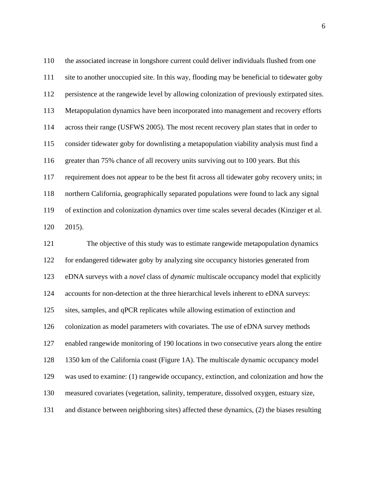the associated increase in longshore current could deliver individuals flushed from one site to another unoccupied site. In this way, flooding may be beneficial to tidewater goby persistence at the rangewide level by allowing colonization of previously extirpated sites. Metapopulation dynamics have been incorporated into management and recovery efforts across their range (USFWS 2005). The most recent recovery plan states that in order to consider tidewater goby for downlisting a metapopulation viability analysis must find a greater than 75% chance of all recovery units surviving out to 100 years. But this requirement does not appear to be the best fit across all tidewater goby recovery units; in northern California, geographically separated populations were found to lack any signal of extinction and colonization dynamics over time scales several decades (Kinziger et al. 2015).

 The objective of this study was to estimate rangewide metapopulation dynamics for endangered tidewater goby by analyzing site occupancy histories generated from eDNA surveys with a *novel* class of *dynamic* multiscale occupancy model that explicitly accounts for non-detection at the three hierarchical levels inherent to eDNA surveys: sites, samples, and qPCR replicates while allowing estimation of extinction and colonization as model parameters with covariates. The use of eDNA survey methods enabled rangewide monitoring of 190 locations in two consecutive years along the entire 1350 km of the California coast (Figure 1A). The multiscale dynamic occupancy model was used to examine: (1) rangewide occupancy, extinction, and colonization and how the measured covariates (vegetation, salinity, temperature, dissolved oxygen, estuary size, and distance between neighboring sites) affected these dynamics, (2) the biases resulting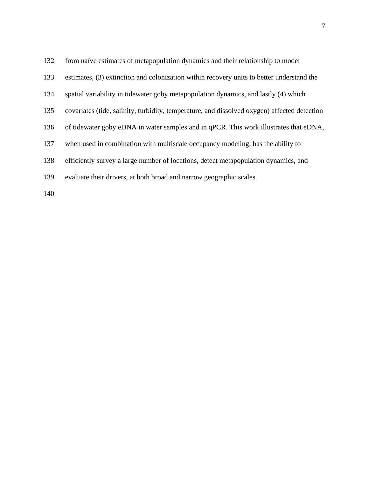from naïve estimates of metapopulation dynamics and their relationship to model estimates, (3) extinction and colonization within recovery units to better understand the spatial variability in tidewater goby metapopulation dynamics, and lastly (4) which covariates (tide, salinity, turbidity, temperature, and dissolved oxygen) affected detection of tidewater goby eDNA in water samples and in qPCR. This work illustrates that eDNA, when used in combination with multiscale occupancy modeling, has the ability to efficiently survey a large number of locations, detect metapopulation dynamics, and evaluate their drivers, at both broad and narrow geographic scales.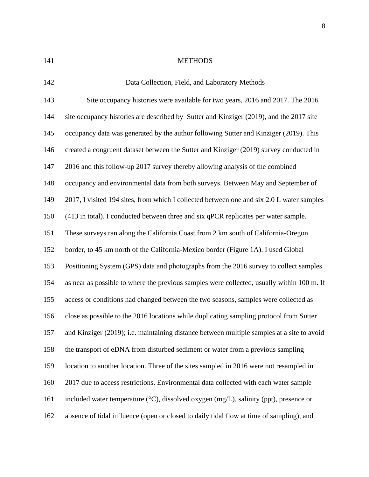<span id="page-23-0"></span>

## 141 METHODS

<span id="page-23-1"></span>

| 142 | Data Collection, Field, and Laboratory Methods                                                       |
|-----|------------------------------------------------------------------------------------------------------|
| 143 | Site occupancy histories were available for two years, 2016 and 2017. The 2016                       |
| 144 | site occupancy histories are described by Sutter and Kinziger (2019), and the 2017 site              |
| 145 | occupancy data was generated by the author following Sutter and Kinziger (2019). This                |
| 146 | created a congruent dataset between the Sutter and Kinziger (2019) survey conducted in               |
| 147 | 2016 and this follow-up 2017 survey thereby allowing analysis of the combined                        |
| 148 | occupancy and environmental data from both surveys. Between May and September of                     |
| 149 | 2017, I visited 194 sites, from which I collected between one and six 2.0 L water samples            |
| 150 | (413 in total). I conducted between three and six qPCR replicates per water sample.                  |
| 151 | These surveys ran along the California Coast from 2 km south of California-Oregon                    |
| 152 | border, to 45 km north of the California-Mexico border (Figure 1A). I used Global                    |
| 153 | Positioning System (GPS) data and photographs from the 2016 survey to collect samples                |
| 154 | as near as possible to where the previous samples were collected, usually within 100 m. If           |
| 155 | access or conditions had changed between the two seasons, samples were collected as                  |
| 156 | close as possible to the 2016 locations while duplicating sampling protocol from Sutter              |
| 157 | and Kinziger (2019); i.e. maintaining distance between multiple samples at a site to avoid           |
| 158 | the transport of eDNA from disturbed sediment or water from a previous sampling                      |
| 159 | location to another location. Three of the sites sampled in 2016 were not resampled in               |
| 160 | 2017 due to access restrictions. Environmental data collected with each water sample                 |
| 161 | included water temperature $({}^{\circ}C)$ , dissolved oxygen $(mg/L)$ , salinity (ppt), presence or |
| 162 | absence of tidal influence (open or closed to daily tidal flow at time of sampling), and             |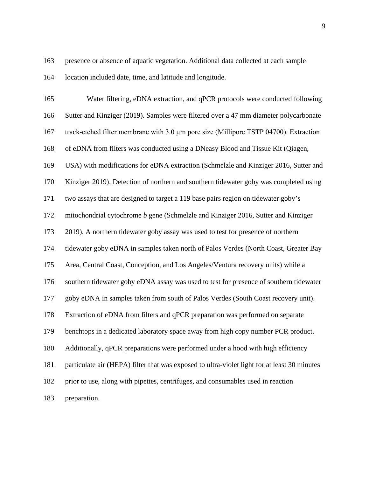presence or absence of aquatic vegetation. Additional data collected at each sample location included date, time, and latitude and longitude.

 Water filtering, eDNA extraction, and qPCR protocols were conducted following Sutter and Kinziger (2019). Samples were filtered over a 47 mm diameter polycarbonate track-etched filter membrane with 3.0 μm pore size (Millipore TSTP 04700). Extraction of eDNA from filters was conducted using a DNeasy Blood and Tissue Kit (Qiagen, USA) with modifications for eDNA extraction (Schmelzle and Kinziger 2016, Sutter and Kinziger 2019). Detection of northern and southern tidewater goby was completed using two assays that are designed to target a 119 base pairs region on tidewater goby's mitochondrial cytochrome *b* gene (Schmelzle and Kinziger 2016, Sutter and Kinziger 2019). A northern tidewater goby assay was used to test for presence of northern tidewater goby eDNA in samples taken north of Palos Verdes (North Coast, Greater Bay Area, Central Coast, Conception, and Los Angeles/Ventura recovery units) while a southern tidewater goby eDNA assay was used to test for presence of southern tidewater goby eDNA in samples taken from south of Palos Verdes (South Coast recovery unit). Extraction of eDNA from filters and qPCR preparation was performed on separate benchtops in a dedicated laboratory space away from high copy number PCR product. Additionally, qPCR preparations were performed under a hood with high efficiency particulate air (HEPA) filter that was exposed to ultra-violet light for at least 30 minutes prior to use, along with pipettes, centrifuges, and consumables used in reaction preparation.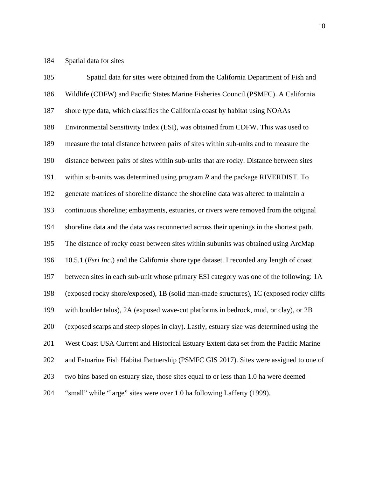### <span id="page-25-0"></span>Spatial data for sites

 Spatial data for sites were obtained from the California Department of Fish and Wildlife (CDFW) and Pacific States Marine Fisheries Council (PSMFC). A California shore type data, which classifies the California coast by habitat using NOAAs Environmental Sensitivity Index (ESI), was obtained from CDFW. This was used to measure the total distance between pairs of sites within sub-units and to measure the distance between pairs of sites within sub-units that are rocky. Distance between sites within sub-units was determined using program *R* and the package RIVERDIST. To generate matrices of shoreline distance the shoreline data was altered to maintain a continuous shoreline; embayments, estuaries, or rivers were removed from the original shoreline data and the data was reconnected across their openings in the shortest path. The distance of rocky coast between sites within subunits was obtained using ArcMap 10.5.1 (*Esri Inc*.) and the California shore type dataset. I recorded any length of coast between sites in each sub-unit whose primary ESI category was one of the following: 1A (exposed rocky shore/exposed), 1B (solid man-made structures), 1C (exposed rocky cliffs with boulder talus), 2A (exposed wave-cut platforms in bedrock, mud, or clay), or 2B (exposed scarps and steep slopes in clay). Lastly, estuary size was determined using the West Coast USA Current and Historical Estuary Extent data set from the Pacific Marine and Estuarine Fish Habitat Partnership (PSMFC GIS 2017). Sites were assigned to one of two bins based on estuary size, those sites equal to or less than 1.0 ha were deemed "small" while "large" sites were over 1.0 ha following Lafferty (1999).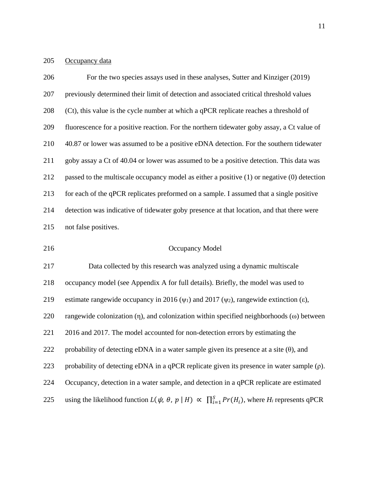# <span id="page-26-0"></span>205 Occupancy data

| 206 | For the two species assays used in these analyses, Sutter and Kinziger (2019)                                    |
|-----|------------------------------------------------------------------------------------------------------------------|
| 207 | previously determined their limit of detection and associated critical threshold values                          |
| 208 | (Ct), this value is the cycle number at which a qPCR replicate reaches a threshold of                            |
| 209 | fluorescence for a positive reaction. For the northern tidewater goby assay, a Ct value of                       |
| 210 | 40.87 or lower was assumed to be a positive eDNA detection. For the southern tidewater                           |
| 211 | goby assay a Ct of 40.04 or lower was assumed to be a positive detection. This data was                          |
| 212 | passed to the multiscale occupancy model as either a positive $(1)$ or negative $(0)$ detection                  |
| 213 | for each of the qPCR replicates preformed on a sample. I assumed that a single positive                          |
| 214 | detection was indicative of tidewater goby presence at that location, and that there were                        |
| 215 | not false positives.                                                                                             |
| 216 | <b>Occupancy Model</b>                                                                                           |
| 217 | Data collected by this research was analyzed using a dynamic multiscale                                          |
| 218 | occupancy model (see Appendix A for full details). Briefly, the model was used to                                |
| 219 | estimate rangewide occupancy in 2016 ( $\psi_1$ ) and 2017 ( $\psi_2$ ), rangewide extinction ( $\varepsilon$ ), |
| 220 | rangewide colonization $(\eta)$ , and colonization within specified neighborhoods $(\omega)$ between             |
| 221 | 2016 and 2017. The model accounted for non-detection errors by estimating the                                    |
| 222 | probability of detecting eDNA in a water sample given its presence at a site $(\theta)$ , and                    |
| 223 | probability of detecting eDNA in a qPCR replicate given its presence in water sample $(\rho)$ .                  |
| 224 | Occupancy, detection in a water sample, and detection in a qPCR replicate are estimated                          |

<span id="page-26-1"></span>225 using the likelihood function  $L(\psi, \theta, p | H) \propto \prod_{i=1}^{S} Pr(H_i)$ , where  $H_i$  represents qPCR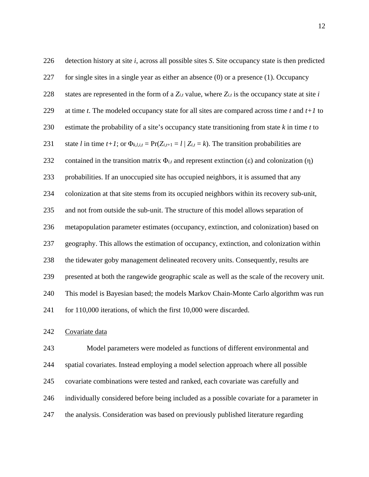| 226 | detection history at site <i>i</i> , across all possible sites <i>S</i> . Site occupancy state is then predicted  |
|-----|-------------------------------------------------------------------------------------------------------------------|
| 227 | for single sites in a single year as either an absence $(0)$ or a presence $(1)$ . Occupancy                      |
| 228 | states are represented in the form of a $Z_{i,t}$ value, where $Z_{i,t}$ is the occupancy state at site i         |
| 229 | at time $t$ . The modeled occupancy state for all sites are compared across time $t$ and $t+1$ to                 |
| 230 | estimate the probability of a site's occupancy state transitioning from state $k$ in time $t$ to                  |
| 231 | state l in time $t+1$ ; or $\Phi_{k,l,i,t} = \Pr(Z_{i,t+1} = l   Z_{i,t} = k)$ . The transition probabilities are |
| 232 | contained in the transition matrix $\Phi_{i,t}$ and represent extinction (ε) and colonization (η)                 |
| 233 | probabilities. If an unoccupied site has occupied neighbors, it is assumed that any                               |
| 234 | colonization at that site stems from its occupied neighbors within its recovery sub-unit,                         |
| 235 | and not from outside the sub-unit. The structure of this model allows separation of                               |
| 236 | metapopulation parameter estimates (occupancy, extinction, and colonization) based on                             |
| 237 | geography. This allows the estimation of occupancy, extinction, and colonization within                           |
| 238 | the tidewater goby management delineated recovery units. Consequently, results are                                |
| 239 | presented at both the rangewide geographic scale as well as the scale of the recovery unit.                       |
| 240 | This model is Bayesian based; the models Markov Chain-Monte Carlo algorithm was run                               |
| 241 | for 110,000 iterations, of which the first 10,000 were discarded.                                                 |

### <span id="page-27-0"></span>Covariate data

 Model parameters were modeled as functions of different environmental and spatial covariates. Instead employing a model selection approach where all possible covariate combinations were tested and ranked, each covariate was carefully and individually considered before being included as a possible covariate for a parameter in the analysis. Consideration was based on previously published literature regarding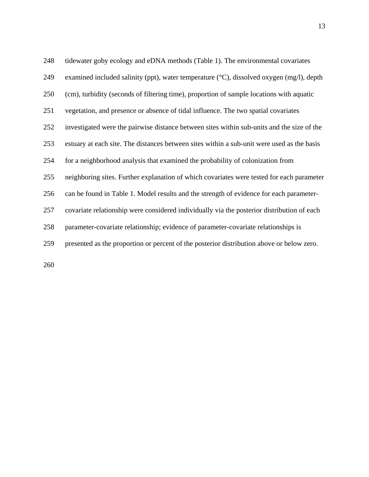| 248 | tidewater goby ecology and eDNA methods (Table 1). The environmental covariates                      |
|-----|------------------------------------------------------------------------------------------------------|
| 249 | examined included salinity (ppt), water temperature $({}^{\circ}C)$ , dissolved oxygen (mg/l), depth |
| 250 | (cm), turbidity (seconds of filtering time), proportion of sample locations with aquatic             |
| 251 | vegetation, and presence or absence of tidal influence. The two spatial covariates                   |
| 252 | investigated were the pairwise distance between sites within sub-units and the size of the           |
| 253 | estuary at each site. The distances between sites within a sub-unit were used as the basis           |
| 254 | for a neighborhood analysis that examined the probability of colonization from                       |
| 255 | neighboring sites. Further explanation of which covariates were tested for each parameter            |
| 256 | can be found in Table 1. Model results and the strength of evidence for each parameter-              |
| 257 | covariate relationship were considered individually via the posterior distribution of each           |
| 258 | parameter-covariate relationship; evidence of parameter-covariate relationships is                   |
| 259 | presented as the proportion or percent of the posterior distribution above or below zero.            |
|     |                                                                                                      |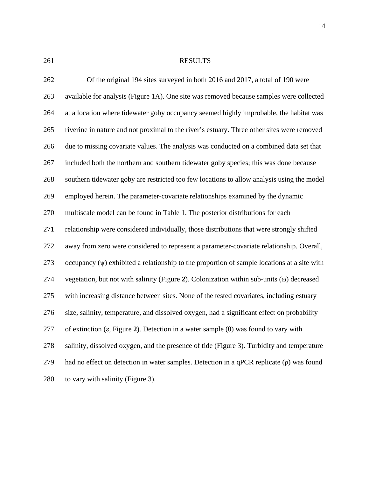<span id="page-29-0"></span>

## RESULTS

| 262 | Of the original 194 sites surveyed in both 2016 and 2017, a total of 190 were                              |
|-----|------------------------------------------------------------------------------------------------------------|
| 263 | available for analysis (Figure 1A). One site was removed because samples were collected                    |
| 264 | at a location where tidewater goby occupancy seemed highly improbable, the habitat was                     |
| 265 | riverine in nature and not proximal to the river's estuary. Three other sites were removed                 |
| 266 | due to missing covariate values. The analysis was conducted on a combined data set that                    |
| 267 | included both the northern and southern tidewater goby species; this was done because                      |
| 268 | southern tidewater goby are restricted too few locations to allow analysis using the model                 |
| 269 | employed herein. The parameter-covariate relationships examined by the dynamic                             |
| 270 | multiscale model can be found in Table 1. The posterior distributions for each                             |
| 271 | relationship were considered individually, those distributions that were strongly shifted                  |
| 272 | away from zero were considered to represent a parameter-covariate relationship. Overall,                   |
| 273 | occupancy $(\psi)$ exhibited a relationship to the proportion of sample locations at a site with           |
| 274 | vegetation, but not with salinity (Figure 2). Colonization within sub-units $(\omega)$ decreased           |
| 275 | with increasing distance between sites. None of the tested covariates, including estuary                   |
| 276 | size, salinity, temperature, and dissolved oxygen, had a significant effect on probability                 |
| 277 | of extinction ( $\varepsilon$ , Figure 2). Detection in a water sample ( $\theta$ ) was found to vary with |
| 278 | salinity, dissolved oxygen, and the presence of tide (Figure 3). Turbidity and temperature                 |
| 279 | had no effect on detection in water samples. Detection in a qPCR replicate $(\rho)$ was found              |
| 280 | to vary with salinity (Figure 3).                                                                          |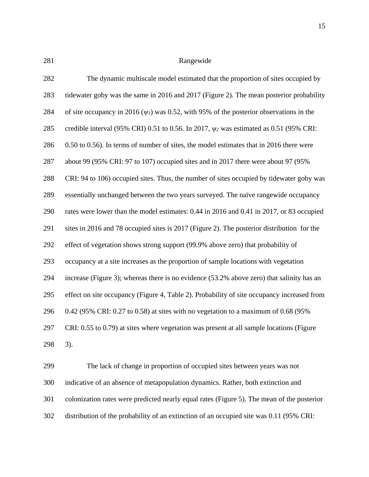<span id="page-30-0"></span>

### Rangewide

| 282 | The dynamic multiscale model estimated that the proportion of sites occupied by                           |
|-----|-----------------------------------------------------------------------------------------------------------|
| 283 | tidewater goby was the same in 2016 and 2017 (Figure 2). The mean posterior probability                   |
| 284 | of site occupancy in 2016 ( $\psi$ <sub>1</sub> ) was 0.52, with 95% of the posterior observations in the |
| 285 | credible interval (95% CRI) 0.51 to 0.56. In 2017, $\psi$ <sub>2</sub> was estimated as 0.51 (95% CRI:    |
| 286 | 0.50 to 0.56). In terms of number of sites, the model estimates that in 2016 there were                   |
| 287 | about 99 (95% CRI: 97 to 107) occupied sites and in 2017 there were about 97 (95%                         |
| 288 | CRI: 94 to 106) occupied sites. Thus, the number of sites occupied by tidewater goby was                  |
| 289 | essentially unchanged between the two years surveyed. The naïve rangewide occupancy                       |
| 290 | rates were lower than the model estimates: 0.44 in 2016 and 0.41 in 2017, or 83 occupied                  |
| 291 | sites in 2016 and 78 occupied sites is 2017 (Figure 2). The posterior distribution for the                |
| 292 | effect of vegetation shows strong support (99.9% above zero) that probability of                          |
| 293 | occupancy at a site increases as the proportion of sample locations with vegetation                       |
| 294 | increase (Figure 3); whereas there is no evidence (53.2% above zero) that salinity has an                 |
| 295 | effect on site occupancy (Figure 4, Table 2). Probability of site occupancy increased from                |
| 296 | $0.42$ (95% CRI: 0.27 to 0.58) at sites with no vegetation to a maximum of 0.68 (95%)                     |
| 297 | CRI: 0.55 to 0.79) at sites where vegetation was present at all sample locations (Figure                  |
| 298 | 3).                                                                                                       |

 The lack of change in proportion of occupied sites between years was not indicative of an absence of metapopulation dynamics. Rather, both extinction and colonization rates were predicted nearly equal rates [\(Figure 5\)](#page-49-0). The mean of the posterior distribution of the probability of an extinction of an occupied site was 0.11 (95% CRI: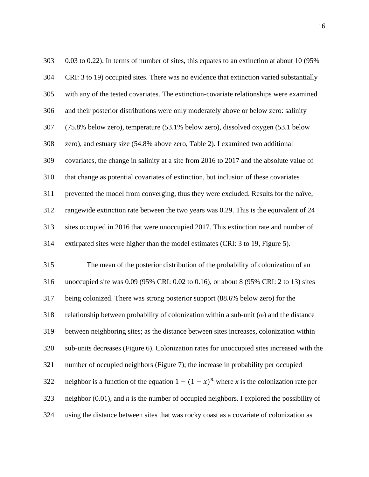| 303 | $0.03$ to $0.22$ ). In terms of number of sites, this equates to an extinction at about 10 (95%)    |
|-----|-----------------------------------------------------------------------------------------------------|
| 304 | CRI: 3 to 19) occupied sites. There was no evidence that extinction varied substantially            |
| 305 | with any of the tested covariates. The extinction-covariate relationships were examined             |
| 306 | and their posterior distributions were only moderately above or below zero: salinity                |
| 307 | (75.8% below zero), temperature (53.1% below zero), dissolved oxygen (53.1 below                    |
| 308 | zero), and estuary size (54.8% above zero, Table 2). I examined two additional                      |
| 309 | covariates, the change in salinity at a site from 2016 to 2017 and the absolute value of            |
| 310 | that change as potential covariates of extinction, but inclusion of these covariates                |
| 311 | prevented the model from converging, thus they were excluded. Results for the naïve,                |
| 312 | rangewide extinction rate between the two years was 0.29. This is the equivalent of 24              |
| 313 | sites occupied in 2016 that were unoccupied 2017. This extinction rate and number of                |
| 314 | extirpated sites were higher than the model estimates (CRI: 3 to 19, Figure 5).                     |
| 315 | The mean of the posterior distribution of the probability of colonization of an                     |
| 316 | unoccupied site was 0.09 (95% CRI: 0.02 to 0.16), or about 8 (95% CRI: 2 to 13) sites               |
| 317 | being colonized. There was strong posterior support (88.6% below zero) for the                      |
| 318 | relationship between probability of colonization within a sub-unit $(\omega)$ and the distance      |
| 319 | between neighboring sites; as the distance between sites increases, colonization within             |
| 320 | sub-units decreases (Figure 6). Colonization rates for unoccupied sites increased with the          |
| 321 | number of occupied neighbors (Figure 7); the increase in probability per occupied                   |
| 322 | neighbor is a function of the equation $1 - (1 - x)^n$ where x is the colonization rate per         |
| 323 | neighbor $(0.01)$ , and <i>n</i> is the number of occupied neighbors. I explored the possibility of |
| 324 | using the distance between sites that was rocky coast as a covariate of colonization as             |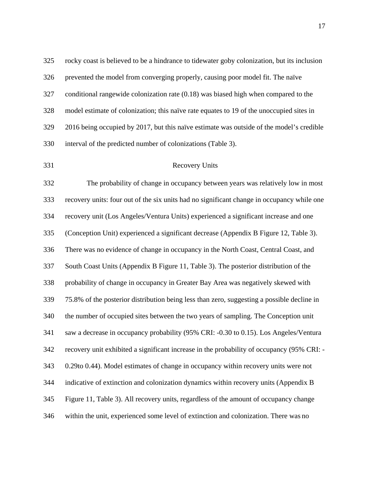rocky coast is believed to be a hindrance to tidewater goby colonization, but its inclusion prevented the model from converging properly, causing poor model fit. The naïve conditional rangewide colonization rate (0.18) was biased high when compared to the model estimate of colonization; this naïve rate equates to 19 of the unoccupied sites in 2016 being occupied by 2017, but this naïve estimate was outside of the model's credible interval of the predicted number of colonizations [\(Table 3\)](#page-57-0).

<span id="page-32-0"></span>

### Recovery Units

 The probability of change in occupancy between years was relatively low in most recovery units: four out of the six units had no significant change in occupancy while one recovery unit (Los Angeles/Ventura Units) experienced a significant increase and one (Conception Unit) experienced a significant decrease (Appendix B [Figure 12,](#page-72-0) [Table 3\)](#page-57-0). There was no evidence of change in occupancy in the North Coast, Central Coast, and South Coast Units (Appendix B [Figure 11,](#page-72-0) [Table 3\)](#page-57-0). The posterior distribution of the probability of change in occupancy in Greater Bay Area was negatively skewed with 75.8% of the posterior distribution being less than zero, suggesting a possible decline in the number of occupied sites between the two years of sampling. The Conception unit saw a decrease in occupancy probability (95% CRI: -0.30 to 0.15). Los Angeles/Ventura recovery unit exhibited a significant increase in the probability of occupancy (95% CRI: - 0.29to 0.44). Model estimates of change in occupancy within recovery units were not indicative of extinction and colonization dynamics within recovery units (Appendix B [Figure 11,](#page-72-0) [Table 3\)](#page-57-0). All recovery units, regardless of the amount of occupancy change within the unit, experienced some level of extinction and colonization. There was no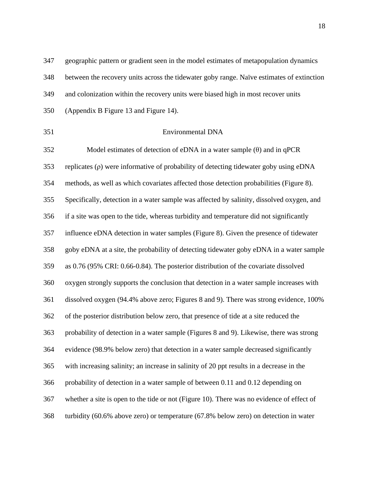geographic pattern or gradient seen in the model estimates of metapopulation dynamics between the recovery units across the tidewater goby range. Naïve estimates of extinction and colonization within the recovery units were biased high in most recover units (Appendix B [Figure 13](#page-72-0) and [Figure 14\)](#page-73-0).

<span id="page-33-0"></span>

### Environmental DNA

 Model estimates of detection of eDNA in a water sample (θ) and in qPCR replicates (ρ) were informative of probability of detecting tidewater goby using eDNA methods, as well as which covariates affected those detection probabilities [\(Figure 8\)](#page-46-1). Specifically, detection in a water sample was affected by salinity, dissolved oxygen, and if a site was open to the tide, whereas turbidity and temperature did not significantly influence eDNA detection in water samples [\(Figure 8\)](#page-46-1). Given the presence of tidewater goby eDNA at a site, the probability of detecting tidewater goby eDNA in a water sample as 0.76 (95% CRI: 0.66-0.84). The posterior distribution of the covariate dissolved oxygen strongly supports the conclusion that detection in a water sample increases with dissolved oxygen (94.4% above zero; [Figures 8](#page-46-1) and [9\)](#page-52-0). There was strong evidence, 100% of the posterior distribution below zero, that presence of tide at a site reduced the probability of detection in a water sample [\(Figures 8](#page-46-1) and [9\)](#page-52-0). Likewise, there was strong evidence (98.9% below zero) that detection in a water sample decreased significantly with increasing salinity; an increase in salinity of 20 ppt results in a decrease in the probability of detection in a water sample of between 0.11 and 0.12 depending on whether a site is open to the tide or not [\(Figure 10\)](#page-53-0). There was no evidence of effect of turbidity (60.6% above zero) or temperature (67.8% below zero) on detection in water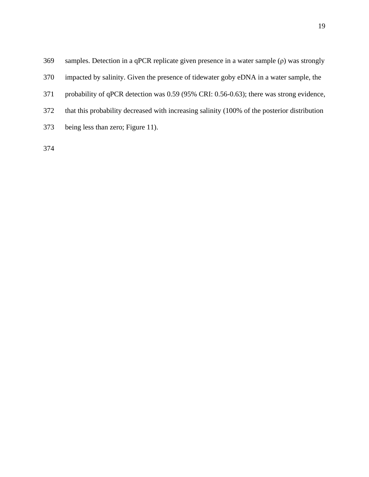| 369 | samples. Detection in a qPCR replicate given presence in a water sample $(\rho)$ was strongly |
|-----|-----------------------------------------------------------------------------------------------|
| 370 | impacted by salinity. Given the presence of tidewater goby eDNA in a water sample, the        |
| 371 | probability of qPCR detection was 0.59 (95% CRI: 0.56-0.63); there was strong evidence,       |
| 372 | that this probability decreased with increasing salinity (100% of the posterior distribution  |
| 373 | being less than zero; Figure 11).                                                             |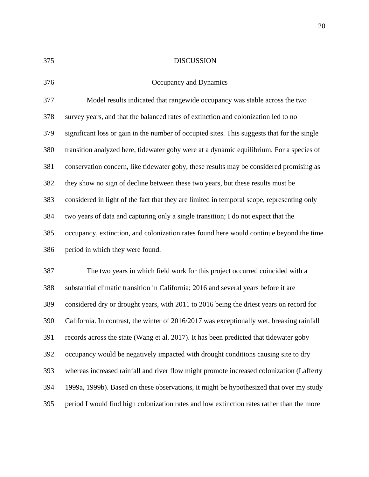<span id="page-35-0"></span>

### DISCUSSION

<span id="page-35-1"></span>Occupancy and Dynamics

|     | $\sim$ ceapane, and $\sim$ , names                                                          |
|-----|---------------------------------------------------------------------------------------------|
| 377 | Model results indicated that rangewide occupancy was stable across the two                  |
| 378 | survey years, and that the balanced rates of extinction and colonization led to no          |
| 379 | significant loss or gain in the number of occupied sites. This suggests that for the single |
| 380 | transition analyzed here, tidewater goby were at a dynamic equilibrium. For a species of    |
| 381 | conservation concern, like tidewater goby, these results may be considered promising as     |
| 382 | they show no sign of decline between these two years, but these results must be             |
| 383 | considered in light of the fact that they are limited in temporal scope, representing only  |
| 384 | two years of data and capturing only a single transition; I do not expect that the          |
| 385 | occupancy, extinction, and colonization rates found here would continue beyond the time     |
| 386 | period in which they were found.                                                            |
|     |                                                                                             |

 The two years in which field work for this project occurred coincided with a substantial climatic transition in California; 2016 and several years before it are considered dry or drought years, with 2011 to 2016 being the driest years on record for California. In contrast, the winter of 2016/2017 was exceptionally wet, breaking rainfall records across the state (Wang et al. 2017). It has been predicted that tidewater goby occupancy would be negatively impacted with drought conditions causing site to dry whereas increased rainfall and river flow might promote increased colonization (Lafferty 1999a, 1999b). Based on these observations, it might be hypothesized that over my study period I would find high colonization rates and low extinction rates rather than the more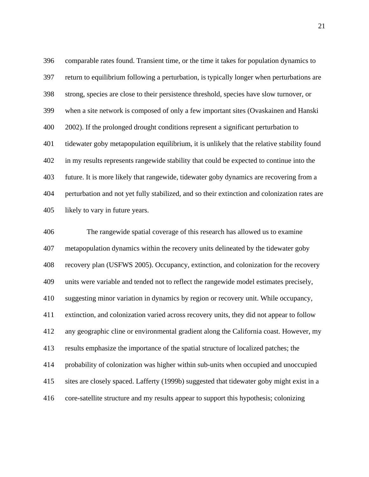comparable rates found. Transient time, or the time it takes for population dynamics to return to equilibrium following a perturbation, is typically longer when perturbations are strong, species are close to their persistence threshold, species have slow turnover, or when a site network is composed of only a few important sites (Ovaskainen and Hanski 2002). If the prolonged drought conditions represent a significant perturbation to tidewater goby metapopulation equilibrium, it is unlikely that the relative stability found in my results represents rangewide stability that could be expected to continue into the future. It is more likely that rangewide, tidewater goby dynamics are recovering from a perturbation and not yet fully stabilized, and so their extinction and colonization rates are likely to vary in future years.

 The rangewide spatial coverage of this research has allowed us to examine metapopulation dynamics within the recovery units delineated by the tidewater goby recovery plan (USFWS 2005). Occupancy, extinction, and colonization for the recovery units were variable and tended not to reflect the rangewide model estimates precisely, suggesting minor variation in dynamics by region or recovery unit. While occupancy, extinction, and colonization varied across recovery units, they did not appear to follow any geographic cline or environmental gradient along the California coast. However, my results emphasize the importance of the spatial structure of localized patches; the probability of colonization was higher within sub-units when occupied and unoccupied sites are closely spaced. Lafferty (1999b) suggested that tidewater goby might exist in a core-satellite structure and my results appear to support this hypothesis; colonizing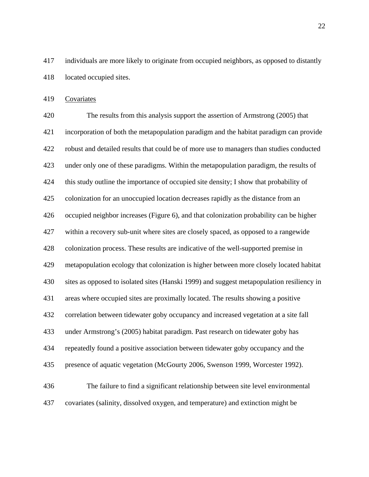individuals are more likely to originate from occupied neighbors, as opposed to distantly located occupied sites.

Covariates

 The results from this analysis support the assertion of Armstrong (2005) that incorporation of both the metapopulation paradigm and the habitat paradigm can provide robust and detailed results that could be of more use to managers than studies conducted under only one of these paradigms. Within the metapopulation paradigm, the results of this study outline the importance of occupied site density; I show that probability of colonization for an unoccupied location decreases rapidly as the distance from an occupied neighbor increases [\(Figure 6\)](#page-50-0), and that colonization probability can be higher within a recovery sub-unit where sites are closely spaced, as opposed to a rangewide colonization process. These results are indicative of the well-supported premise in metapopulation ecology that colonization is higher between more closely located habitat sites as opposed to isolated sites (Hanski 1999) and suggest metapopulation resiliency in areas where occupied sites are proximally located. The results showing a positive correlation between tidewater goby occupancy and increased vegetation at a site fall under Armstrong's (2005) habitat paradigm. Past research on tidewater goby has repeatedly found a positive association between tidewater goby occupancy and the presence of aquatic vegetation (McGourty 2006, Swenson 1999, Worcester 1992). The failure to find a significant relationship between site level environmental covariates (salinity, dissolved oxygen, and temperature) and extinction might be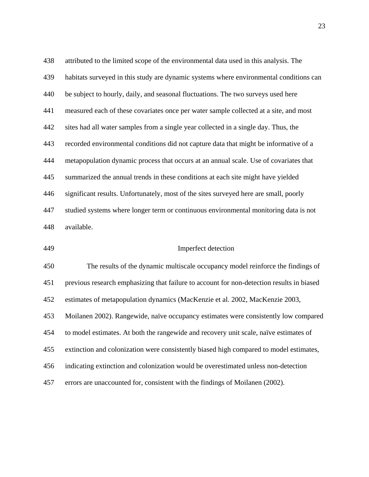attributed to the limited scope of the environmental data used in this analysis. The habitats surveyed in this study are dynamic systems where environmental conditions can be subject to hourly, daily, and seasonal fluctuations. The two surveys used here measured each of these covariates once per water sample collected at a site, and most sites had all water samples from a single year collected in a single day. Thus, the recorded environmental conditions did not capture data that might be informative of a metapopulation dynamic process that occurs at an annual scale. Use of covariates that summarized the annual trends in these conditions at each site might have yielded significant results. Unfortunately, most of the sites surveyed here are small, poorly studied systems where longer term or continuous environmental monitoring data is not available.

Imperfect detection

 The results of the dynamic multiscale occupancy model reinforce the findings of previous research emphasizing that failure to account for non-detection results in biased estimates of metapopulation dynamics (MacKenzie et al. 2002, MacKenzie 2003, Moilanen 2002). Rangewide, naïve occupancy estimates were consistently low compared to model estimates. At both the rangewide and recovery unit scale, naïve estimates of extinction and colonization were consistently biased high compared to model estimates, indicating extinction and colonization would be overestimated unless non-detection errors are unaccounted for, consistent with the findings of Moilanen (2002).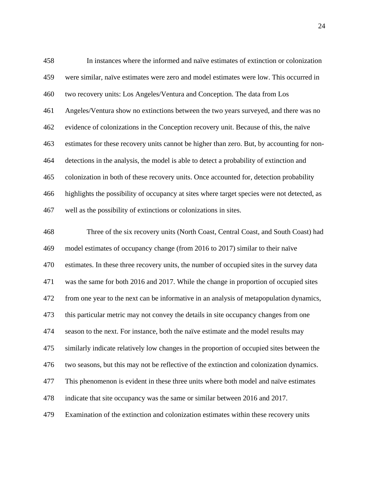| 458 | In instances where the informed and naïve estimates of extinction or colonization           |
|-----|---------------------------------------------------------------------------------------------|
| 459 | were similar, naïve estimates were zero and model estimates were low. This occurred in      |
| 460 | two recovery units: Los Angeles/Ventura and Conception. The data from Los                   |
| 461 | Angeles/Ventura show no extinctions between the two years surveyed, and there was no        |
| 462 | evidence of colonizations in the Conception recovery unit. Because of this, the naïve       |
| 463 | estimates for these recovery units cannot be higher than zero. But, by accounting for non-  |
| 464 | detections in the analysis, the model is able to detect a probability of extinction and     |
| 465 | colonization in both of these recovery units. Once accounted for, detection probability     |
| 466 | highlights the possibility of occupancy at sites where target species were not detected, as |
| 467 | well as the possibility of extinctions or colonizations in sites.                           |

 Three of the six recovery units (North Coast, Central Coast, and South Coast) had model estimates of occupancy change (from 2016 to 2017) similar to their naïve estimates. In these three recovery units, the number of occupied sites in the survey data was the same for both 2016 and 2017. While the change in proportion of occupied sites from one year to the next can be informative in an analysis of metapopulation dynamics, this particular metric may not convey the details in site occupancy changes from one season to the next. For instance, both the naïve estimate and the model results may similarly indicate relatively low changes in the proportion of occupied sites between the two seasons, but this may not be reflective of the extinction and colonization dynamics. This phenomenon is evident in these three units where both model and naïve estimates indicate that site occupancy was the same or similar between 2016 and 2017. Examination of the extinction and colonization estimates within these recovery units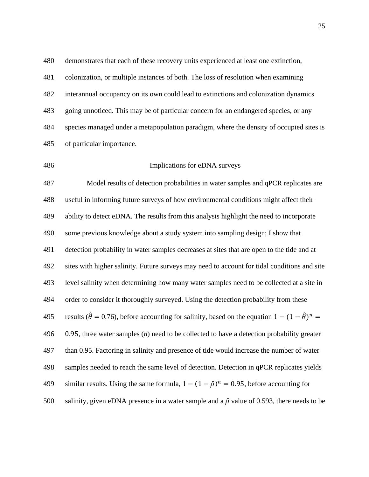colonization, or multiple instances of both. The loss of resolution when examining interannual occupancy on its own could lead to extinctions and colonization dynamics going unnoticed. This may be of particular concern for an endangered species, or any species managed under a metapopulation paradigm, where the density of occupied sites is of particular importance.

demonstrates that each of these recovery units experienced at least one extinction,

Implications for eDNA surveys

 Model results of detection probabilities in water samples and qPCR replicates are useful in informing future surveys of how environmental conditions might affect their ability to detect eDNA. The results from this analysis highlight the need to incorporate some previous knowledge about a study system into sampling design; I show that detection probability in water samples decreases at sites that are open to the tide and at sites with higher salinity. Future surveys may need to account for tidal conditions and site level salinity when determining how many water samples need to be collected at a site in order to consider it thoroughly surveyed. Using the detection probability from these results ( $\hat{\theta} = 0.76$ ), before accounting for salinity, based on the equation  $1 - (1 - \hat{\theta})^n =$  0.95, three water samples (*n*) need to be collected to have a detection probability greater than 0.95. Factoring in salinity and presence of tide would increase the number of water samples needed to reach the same level of detection. Detection in qPCR replicates yields 499 similar results. Using the same formula,  $1 - (1 - \hat{\rho})^n = 0.95$ , before accounting for 500 salinity, given eDNA presence in a water sample and a  $\hat{\rho}$  value of 0.593, there needs to be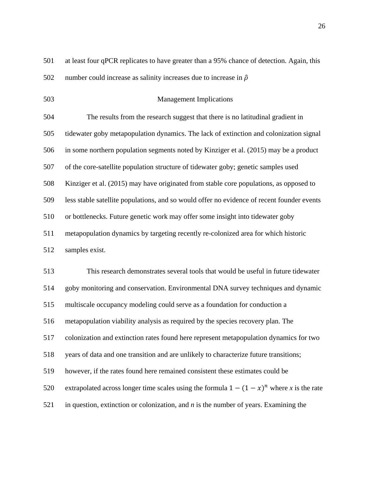| 501 | at least four qPCR replicates to have greater than a 95% chance of detection. Again, this |  |  |
|-----|-------------------------------------------------------------------------------------------|--|--|
|     |                                                                                           |  |  |

502 number could increase as salinity increases due to increase in  $\hat{\rho}$ 

Management Implications

 The results from the research suggest that there is no latitudinal gradient in tidewater goby metapopulation dynamics. The lack of extinction and colonization signal in some northern population segments noted by Kinziger et al. (2015) may be a product of the core-satellite population structure of tidewater goby; genetic samples used Kinziger et al. (2015) may have originated from stable core populations, as opposed to less stable satellite populations, and so would offer no evidence of recent founder events or bottlenecks. Future genetic work may offer some insight into tidewater goby metapopulation dynamics by targeting recently re-colonized area for which historic samples exist.

 This research demonstrates several tools that would be useful in future tidewater goby monitoring and conservation. Environmental DNA survey techniques and dynamic multiscale occupancy modeling could serve as a foundation for conduction a metapopulation viability analysis as required by the species recovery plan. The colonization and extinction rates found here represent metapopulation dynamics for two years of data and one transition and are unlikely to characterize future transitions; however, if the rates found here remained consistent these estimates could be 520 extrapolated across longer time scales using the formula  $1 - (1 - x)^n$  where *x* is the rate in question, extinction or colonization, and *n* is the number of years. Examining the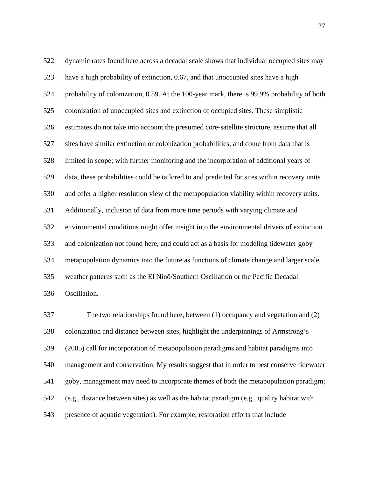dynamic rates found here across a decadal scale shows that individual occupied sites may have a high probability of extinction, 0.67, and that unoccupied sites have a high probability of colonization, 0.59. At the 100-year mark, there is 99.9% probability of both colonization of unoccupied sites and extinction of occupied sites. These simplistic estimates do not take into account the presumed core-satellite structure, assume that all sites have similar extinction or colonization probabilities, and come from data that is limited in scope; with further monitoring and the incorporation of additional years of data, these probabilities could be tailored to and predicted for sites within recovery units and offer a higher resolution view of the metapopulation viability within recovery units. Additionally, inclusion of data from more time periods with varying climate and environmental conditions might offer insight into the environmental drivers of extinction and colonization not found here, and could act as a basis for modeling tidewater goby metapopulation dynamics into the future as functions of climate change and larger scale weather patterns such as the El Ninõ/Southern Oscillation or the Pacific Decadal Oscillation.

 The two relationships found here, between (1) occupancy and vegetation and (2) colonization and distance between sites, highlight the underpinnings of Armstrong's (2005) call for incorporation of metapopulation paradigms and habitat paradigms into management and conservation. My results suggest that in order to best conserve tidewater goby, management may need to incorporate themes of both the metapopulation paradigm; (e.g., distance between sites) as well as the habitat paradigm (e.g., quality habitat with presence of aquatic vegetation). For example, restoration efforts that include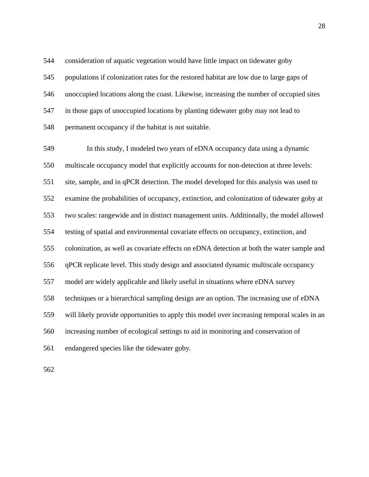consideration of aquatic vegetation would have little impact on tidewater goby populations if colonization rates for the restored habitat are low due to large gaps of unoccupied locations along the coast. Likewise, increasing the number of occupied sites in those gaps of unoccupied locations by planting tidewater goby may not lead to permanent occupancy if the habitat is not suitable.

 In this study, I modeled two years of eDNA occupancy data using a dynamic multiscale occupancy model that explicitly accounts for non-detection at three levels: site, sample, and in qPCR detection. The model developed for this analysis was used to examine the probabilities of occupancy, extinction, and colonization of tidewater goby at two scales: rangewide and in distinct management units. Additionally, the model allowed testing of spatial and environmental covariate effects on occupancy, extinction, and colonization, as well as covariate effects on eDNA detection at both the water sample and qPCR replicate level. This study design and associated dynamic multiscale occupancy model are widely applicable and likely useful in situations where eDNA survey techniques or a hierarchical sampling design are an option. The increasing use of eDNA will likely provide opportunities to apply this model over increasing temporal scales in an increasing number of ecological settings to aid in monitoring and conservation of endangered species like the tidewater goby.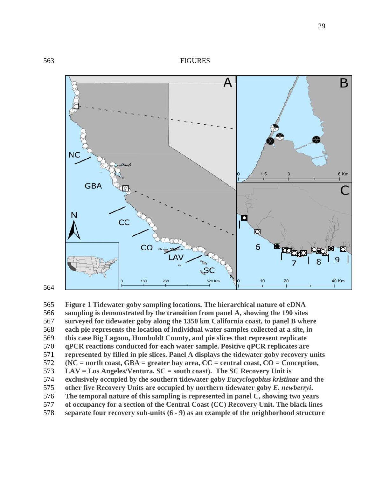

 **Figure 1 Tidewater goby sampling locations. The hierarchical nature of eDNA sampling is demonstrated by the transition from panel A, showing the 190 sites surveyed for tidewater goby along the 1350 km California coast, to panel B where each pie represents the location of individual water samples collected at a site, in this case Big Lagoon, Humboldt County, and pie slices that represent replicate qPCR reactions conducted for each water sample. Positive qPCR replicates are represented by filled in pie slices. Panel A displays the tidewater goby recovery units (NC = north coast, GBA = greater bay area, CC = central coast, CO = Conception, LAV = Los Angeles/Ventura, SC = south coast). The SC Recovery Unit is exclusively occupied by the southern tidewater goby** *Eucyclogobius kristinae* **and the other five Recovery Units are occupied by northern tidewater goby** *E. newberryi***. The temporal nature of this sampling is represented in panel C, showing two years of occupancy for a section of the Central Coast (CC) Recovery Unit. The black lines separate four recovery sub-units (6 - 9) as an example of the neighborhood structure**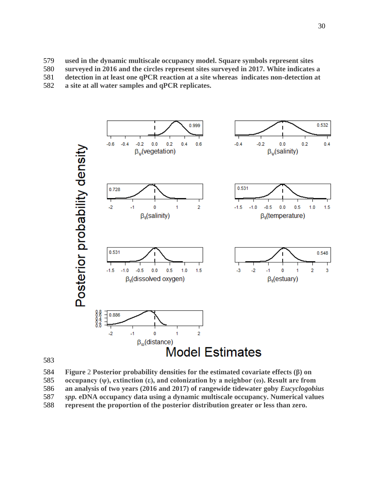**used in the dynamic multiscale occupancy model. Square symbols represent sites** 

- **surveyed in 2016 and the circles represent sites surveyed in 2017. White indicates a**
- **detection in at least one qPCR reaction at a site whereas indicates non-detection at**
- **a site at all water samples and qPCR replicates.**





 **Figure** 2 **Posterior probability densities for the estimated covariate effects (β) on occupancy (ψ), extinction (ε), and colonization by a neighbor (ω). Result are from an analysis of two years (2016 and 2017) of rangewide tidewater goby** *Eucyclogobius* 

- *spp.* **eDNA occupancy data using a dynamic multiscale occupancy. Numerical values**
- **represent the proportion of the posterior distribution greater or less than zero.**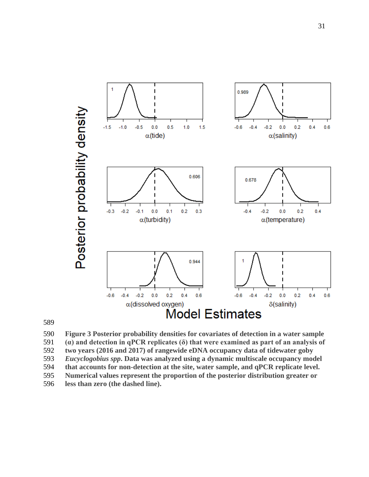

 **Figure 3 Posterior probability densities for covariates of detection in a water sample (α) and detection in qPCR replicates (δ) that were examined as part of an analysis of two years (2016 and 2017) of rangewide eDNA occupancy data of tidewater goby**  *Eucyclogobius spp***. Data was analyzed using a dynamic multiscale occupancy model that accounts for non-detection at the site, water sample, and qPCR replicate level. Numerical values represent the proportion of the posterior distribution greater or** 

**less than zero (the dashed line).**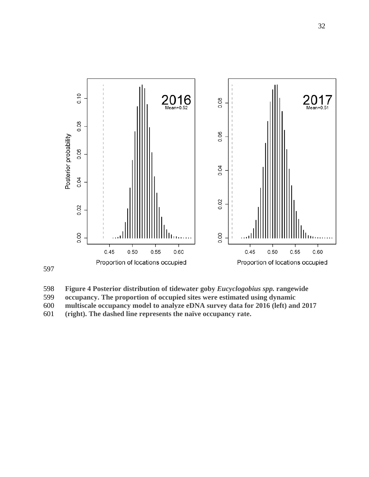

 **Figure 4 Posterior distribution of tidewater goby** *Eucyclogobius spp.* **rangewide occupancy. The proportion of occupied sites were estimated using dynamic multiscale occupancy model to analyze eDNA survey data for 2016 (left) and 2017 (right). The dashed line represents the naïve occupancy rate.**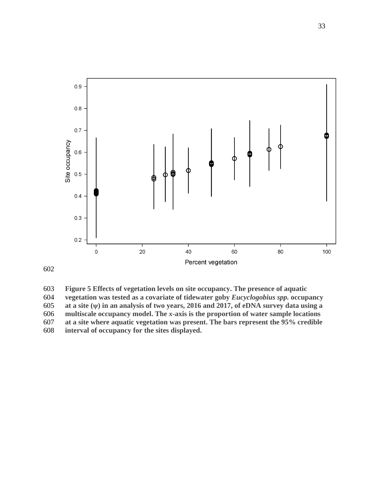

 **Figure 5 Effects of vegetation levels on site occupancy. The presence of aquatic vegetation was tested as a covariate of tidewater goby** *Eucyclogobius spp.* **occupancy at a site (ψ) in an analysis of two years, 2016 and 2017, of eDNA survey data using a multiscale occupancy model. The** *x***-axis is the proportion of water sample locations at a site where aquatic vegetation was present. The bars represent the 95% credible interval of occupancy for the sites displayed.**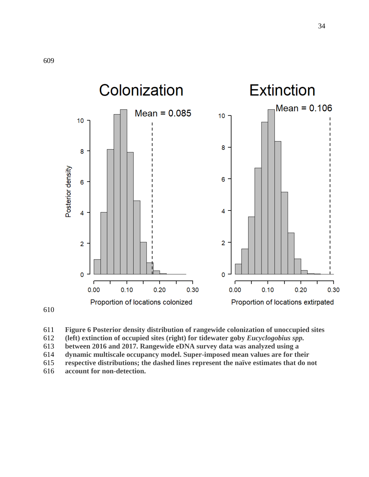



**(left) extinction of occupied sites (right) for tidewater goby** *Eucyclogobius spp.*

**between 2016 and 2017. Rangewide eDNA survey data was analyzed using a** 

**dynamic multiscale occupancy model. Super-imposed mean values are for their** 

- **respective distributions; the dashed lines represent the naïve estimates that do not**
- **account for non-detection.**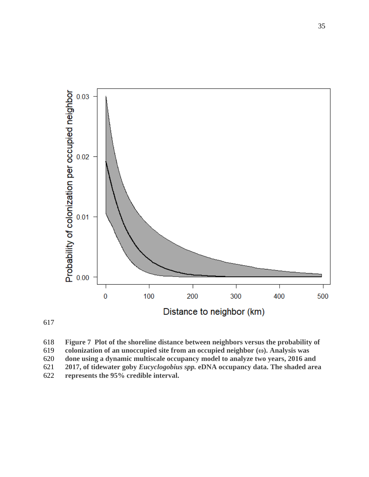



<span id="page-50-0"></span> **Figure 7 Plot of the shoreline distance between neighbors versus the probability of colonization of an unoccupied site from an occupied neighbor (ω). Analysis was done using a dynamic multiscale occupancy model to analyze two years, 2016 and 2017, of tidewater goby** *Eucyclogobius spp.* **eDNA occupancy data. The shaded area represents the 95% credible interval.**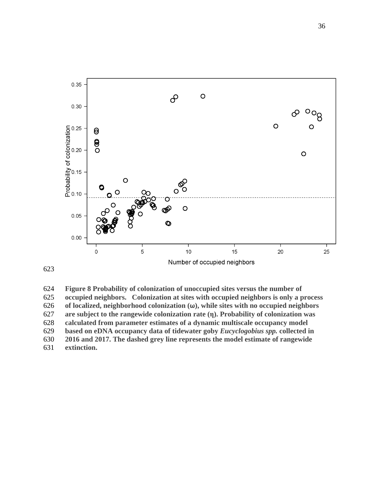

 **Figure 8 Probability of colonization of unoccupied sites versus the number of occupied neighbors. Colonization at sites with occupied neighbors is only a process of localized, neighborhood colonization (ω), while sites with no occupied neighbors are subject to the rangewide colonization rate (η). Probability of colonization was calculated from parameter estimates of a dynamic multiscale occupancy model based on eDNA occupancy data of tidewater goby** *Eucyclogobius spp.* **collected in 2016 and 2017. The dashed grey line represents the model estimate of rangewide extinction.**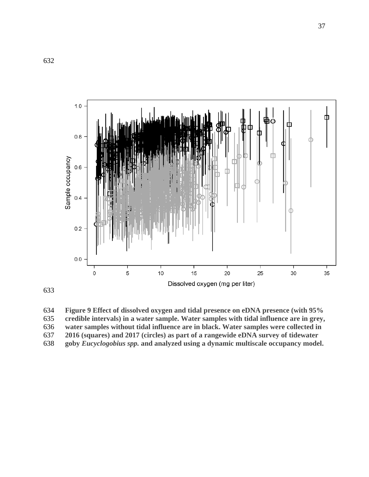

 **Figure 9 Effect of dissolved oxygen and tidal presence on eDNA presence (with 95% credible intervals) in a water sample. Water samples with tidal influence are in grey, water samples without tidal influence are in black. Water samples were collected in 2016 (squares) and 2017 (circles) as part of a rangewide eDNA survey of tidewater goby** *Eucyclogobius spp.* **and analyzed using a dynamic multiscale occupancy model.**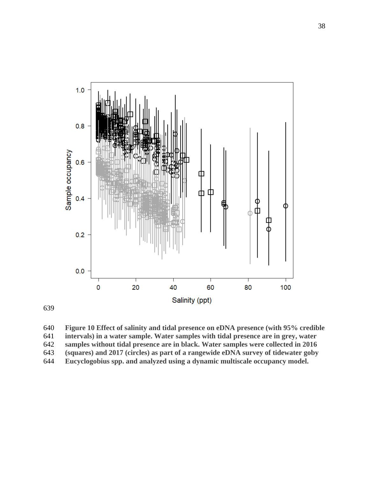



 **Figure 10 Effect of salinity and tidal presence on eDNA presence (with 95% credible intervals) in a water sample. Water samples with tidal presence are in grey, water samples without tidal presence are in black. Water samples were collected in 2016 (squares) and 2017 (circles) as part of a rangewide eDNA survey of tidewater goby Eucyclogobius spp. and analyzed using a dynamic multiscale occupancy model.**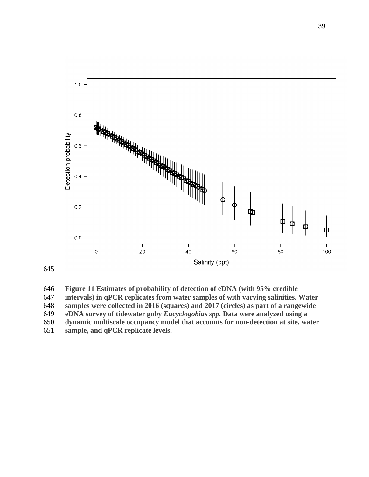

**Figure 11 Estimates of probability of detection of eDNA (with 95% credible** 

**intervals) in qPCR replicates from water samples of with varying salinities. Water** 

**samples were collected in 2016 (squares) and 2017 (circles) as part of a rangewide**

**eDNA survey of tidewater goby** *Eucyclogobius spp.* **Data were analyzed using a** 

**dynamic multiscale occupancy model that accounts for non-detection at site, water** 

**sample, and qPCR replicate levels.**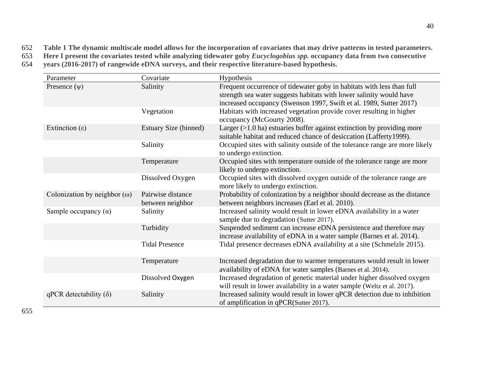652 **Table 1 The dynamic multiscale model allows for the incorporation of covariates that may drive patterns in tested parameters.** 

- 653 **Here I present the covariates tested while analyzing tidewater goby** *Eucyclogobius spp.* **occupancy data from two consecutive**
- 654 **years (2016-2017) of rangewide eDNA surveys, and their respective literature-based hypothesis.**

| Parameter                           | Covariate                             | Hypothesis                                                                                                                                                                                                         |
|-------------------------------------|---------------------------------------|--------------------------------------------------------------------------------------------------------------------------------------------------------------------------------------------------------------------|
| Presence $(\psi)$                   | Salinity                              | Frequent occurrence of tidewater goby in habitats with less than full<br>strength sea water suggests habitats with lower salinity would have<br>increased occupancy (Swenson 1997, Swift et al. 1989, Sutter 2017) |
|                                     | Vegetation                            | Habitats with increased vegetation provide cover resulting in higher<br>occupancy (McGourty 2008).                                                                                                                 |
| Extinction $(\epsilon)$             | Estuary Size (binned)                 | Larger $(>1.0 \text{ ha})$ estuaries buffer against extinction by providing more<br>suitable habitat and reduced chance of desiccation (Lafferty1999).                                                             |
|                                     | Salinity                              | Occupied sites with salinity outside of the tolerance range are more likely<br>to undergo extinction.                                                                                                              |
|                                     | Temperature                           | Occupied sites with temperature outside of the tolerance range are more<br>likely to undergo extinction.                                                                                                           |
|                                     | Dissolved Oxygen                      | Occupied sites with dissolved oxygen outside of the tolerance range are<br>more likely to undergo extinction.                                                                                                      |
| Colonization by neighbor $(\omega)$ | Pairwise distance<br>between neighbor | Probability of colonization by a neighbor should decrease as the distance<br>between neighbors increases (Earl et al. 2010).                                                                                       |
| Sample occupancy $(\alpha)$         | Salinity                              | Increased salinity would result in lower eDNA availability in a water<br>sample due to degradation (Sutter 2017).                                                                                                  |
|                                     | Turbidity                             | Suspended sediment can increase eDNA persistence and therefore may<br>increase availability of eDNA in a water sample (Barnes et al. 2014).                                                                        |
|                                     | <b>Tidal Presence</b>                 | Tidal presence decreases eDNA availability at a site (Schmelzle 2015).                                                                                                                                             |
|                                     | Temperature                           | Increased degradation due to warmer temperatures would result in lower<br>availability of eDNA for water samples (Barnes et al. 2014).                                                                             |
|                                     | Dissolved Oxygen                      | Increased degradation of genetic material under higher dissolved oxygen<br>will result in lower availability in a water sample (Weltz et al. 2017).                                                                |
| qPCR detectability $(\delta)$       | Salinity                              | Increased salinity would result in lower qPCR detection due to inhibition<br>of amplification in qPCR(Sutter 2017).                                                                                                |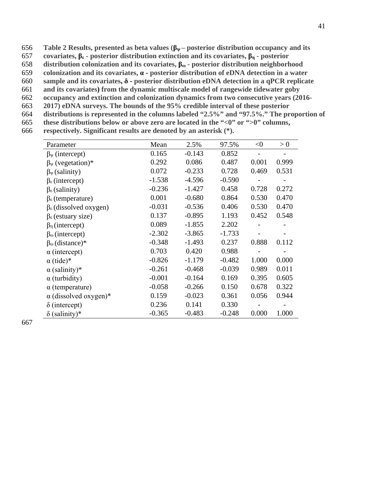- 656 **Table 2 Results, presented as beta values (βψ – posterior distribution occupancy and its**
- 657 **covariates, βε - posterior distribution extinction and its covariates, βη - posterior**
- 658 **distribution colonization and its covariates, βω - posterior distribution neighborhood**
- 659 **colonization and its covariates, α - posterior distribution of eDNA detection in a water**
- 660 **sample and its covariates, δ - posterior distribution eDNA detection in a qPCR replicate**
- 661 **and its covariates) from the dynamic multiscale model of rangewide tidewater goby**
- 662 **occupancy and extinction and colonization dynamics from two consecutive years (2016-** 663 **2017) eDNA surveys. The bounds of the 95% credible interval of these posterior**
- 
- 664 **distributions is represented in the columns labeled "2.5%" and "97.5%." The proportion of**
- 665 **these distributions below or above zero are located in the "<0" or ">0" columns,**  666 **respectively. Significant results are denoted by an asterisk (\*).**

| Parameter                             | Mean     | 2.5%     | 97.5%    | $<$ 0 | > 0   |
|---------------------------------------|----------|----------|----------|-------|-------|
| $\beta_{\Psi}$ (intercept)            | 0.165    | $-0.143$ | 0.852    |       |       |
| $\beta_{\Psi}$ (vegetation)*          | 0.292    | 0.086    | 0.487    | 0.001 | 0.999 |
| $\beta_{\Psi}$ (salinity)             | 0.072    | $-0.233$ | 0.728    | 0.469 | 0.531 |
| $\beta_{\epsilon}$ (intercept)        | $-1.538$ | $-4.596$ | $-0.590$ |       |       |
| $\beta_{\epsilon}$ (salinity)         | $-0.236$ | $-1.427$ | 0.458    | 0.728 | 0.272 |
| $\beta_{\epsilon}$ (temperature)      | 0.001    | $-0.680$ | 0.864    | 0.530 | 0.470 |
| $\beta_{\epsilon}$ (dissolved oxygen) | $-0.031$ | $-0.536$ | 0.406    | 0.530 | 0.470 |
| $\beta_{\epsilon}$ (estuary size)     | 0.137    | $-0.895$ | 1.193    | 0.452 | 0.548 |
| $\beta_n$ (intercept)                 | 0.089    | $-1.855$ | 2.202    |       |       |
| $\beta_{\omega}$ (intercept)          | $-2.302$ | $-3.865$ | $-1.733$ |       |       |
| $\beta_{\omega}$ (distance)*          | $-0.348$ | $-1.493$ | 0.237    | 0.888 | 0.112 |
| $\alpha$ (intercept)                  | 0.703    | 0.420    | 0.988    |       |       |
| $\alpha$ (tide)*                      | $-0.826$ | $-1.179$ | $-0.482$ | 1.000 | 0.000 |
| $\alpha$ (salinity)*                  | $-0.261$ | $-0.468$ | $-0.039$ | 0.989 | 0.011 |
| $\alpha$ (turbidity)                  | $-0.001$ | $-0.164$ | 0.169    | 0.395 | 0.605 |
| $\alpha$ (temperature)                | $-0.058$ | $-0.266$ | 0.150    | 0.678 | 0.322 |
| $\alpha$ (dissolved oxygen)*          | 0.159    | $-0.023$ | 0.361    | 0.056 | 0.944 |
| $\delta$ (intercept)                  | 0.236    | 0.141    | 0.330    |       |       |
| $\delta$ (salinity)*                  | $-0.365$ | $-0.483$ | $-0.248$ | 0.000 | 1.000 |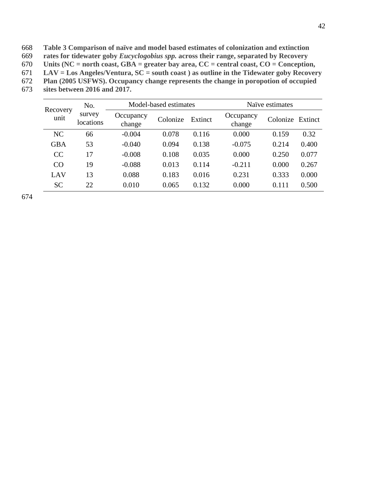668 **Table 3 Comparison of naïve and model based estimates of colonization and extinction**

669 **rates for tidewater goby** *Eucyclogobius spp.* **across their range, separated by Recovery** 

670 **Units (NC = north coast, GBA = greater bay area, CC = central coast, CO = Conception,** 

671 **LAV = Los Angeles/Ventura, SC = south coast ) as outline in the Tidewater goby Recovery** 

672 **Plan (2005 USFWS). Occupancy change represents the change in poropotion of occupied** 

673 **sites between 2016 and 2017.**

|                  | No.                 | Model-based estimates |          |         | Naïve estimates     |                  |       |
|------------------|---------------------|-----------------------|----------|---------|---------------------|------------------|-------|
| Recovery<br>unit | survey<br>locations | Occupancy<br>change   | Colonize | Extinct | Occupancy<br>change | Colonize Extinct |       |
| <b>NC</b>        | 66                  | $-0.004$              | 0.078    | 0.116   | 0.000               | 0.159            | 0.32  |
| <b>GBA</b>       | 53                  | $-0.040$              | 0.094    | 0.138   | $-0.075$            | 0.214            | 0.400 |
| CC               | 17                  | $-0.008$              | 0.108    | 0.035   | 0.000               | 0.250            | 0.077 |
| CO               | 19                  | $-0.088$              | 0.013    | 0.114   | $-0.211$            | 0.000            | 0.267 |
| LAV              | 13                  | 0.088                 | 0.183    | 0.016   | 0.231               | 0.333            | 0.000 |
| <b>SC</b>        | 22                  | 0.010                 | 0.065    | 0.132   | 0.000               | 0.111            | 0.500 |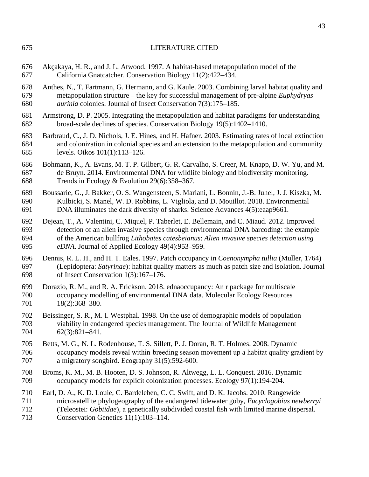- Akçakaya, H. R., and J. L. Atwood. 1997. A habitat-based metapopulation model of the California Gnatcatcher. Conservation Biology 11(2):422–434.
- Anthes, N., T. Fartmann, G. Hermann, and G. Kaule. 2003. Combining larval habitat quality and metapopulation structure – the key for successful management of pre-alpine *Euphydryas aurinia* colonies. Journal of Insect Conservation 7(3):175–185.
- Armstrong, D. P. 2005. Integrating the metapopulation and habitat paradigms for understanding broad-scale declines of species. Conservation Biology 19(5):1402–1410.
- Barbraud, C., J. D. Nichols, J. E. Hines, and H. Hafner. 2003. Estimating rates of local extinction and colonization in colonial species and an extension to the metapopulation and community levels. Oikos 101(1):113–126.
- Bohmann, K., A. Evans, M. T. P. Gilbert, G. R. Carvalho, S. Creer, M. Knapp, D. W. Yu, and M. de Bruyn. 2014. Environmental DNA for wildlife biology and biodiversity monitoring. Trends in Ecology & Evolution 29(6):358–367.
- Boussarie, G., J. Bakker, O. S. Wangensteen, S. Mariani, L. Bonnin, J.-B. Juhel, J. J. Kiszka, M. Kulbicki, S. Manel, W. D. Robbins, L. Vigliola, and D. Mouillot. 2018. Environmental DNA illuminates the dark diversity of sharks. Science Advances 4(5):eaap9661.
- Dejean, T., A. Valentini, C. Miquel, P. Taberlet, E. Bellemain, and C. Miaud. 2012. Improved detection of an alien invasive species through environmental DNA barcoding: the example of the American bullfrog *Lithobates catesbeianus*: *Alien invasive species detection using eDNA*. Journal of Applied Ecology 49(4):953–959.
- Dennis, R. L. H., and H. T. Eales. 1997. Patch occupancy in *Coenonympha tullia* (Muller, 1764) (Lepidoptera: *Satyrinae*): habitat quality matters as much as patch size and isolation. Journal of Insect Conservation 1(3):167–176.
- Dorazio, R. M., and R. A. Erickson. 2018. ednaoccupancy: An r package for multiscale occupancy modelling of environmental DNA data. Molecular Ecology Resources 18(2):368–380.
- Beissinger, S. R., M. I. Westphal. 1998. On the use of demographic models of population viability in endangered species management. The Journal of Wildlife Management 62(3):821–841.
- Betts, M. G., N. L. Rodenhouse, T. S. Sillett, P. J. Doran, R. T. Holmes. 2008. Dynamic occupancy models reveal within‐breeding season movement up a habitat quality gradient by a migratory songbird. Ecography 31(5):592-600.
- Broms, K. M., M. B. Hooten, D. S. Johnson, R. Altwegg, L. L. Conquest. 2016. Dynamic occupancy models for explicit colonization processes. Ecology 97(1):194-204.
- Earl, D. A., K. D. Louie, C. Bardeleben, C. C. Swift, and D. K. Jacobs. 2010. Rangewide microsatellite phylogeography of the endangered tidewater goby, *Eucyclogobius newberryi* (Teleostei: *Gobiidae*), a genetically subdivided coastal fish with limited marine dispersal.
- Conservation Genetics 11(1):103–114.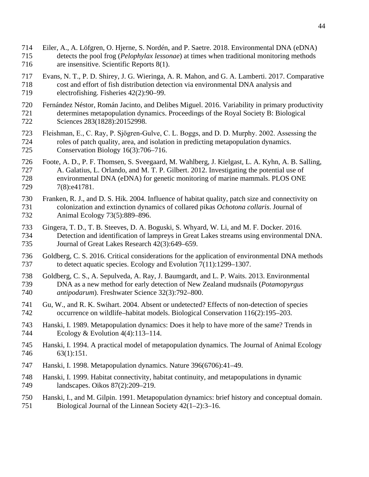- Eiler, A., A. Löfgren, O. Hjerne, S. Nordén, and P. Saetre. 2018. Environmental DNA (eDNA) detects the pool frog (*Pelophylax lessonae*) at times when traditional monitoring methods are insensitive. Scientific Reports 8(1).
- Evans, N. T., P. D. Shirey, J. G. Wieringa, A. R. Mahon, and G. A. Lamberti. 2017. Comparative cost and effort of fish distribution detection via environmental DNA analysis and electrofishing. Fisheries 42(2):90–99.
- Fernández Néstor, Román Jacinto, and Delibes Miguel. 2016. Variability in primary productivity determines metapopulation dynamics. Proceedings of the Royal Society B: Biological Sciences 283(1828):20152998.
- Fleishman, E., C. Ray, P. Sjögren‐Gulve, C. L. Boggs, and D. D. Murphy. 2002. Assessing the roles of patch quality, area, and isolation in predicting metapopulation dynamics. Conservation Biology 16(3):706–716.
- Foote, A. D., P. F. Thomsen, S. Sveegaard, M. Wahlberg, J. Kielgast, L. A. Kyhn, A. B. Salling, A. Galatius, L. Orlando, and M. T. P. Gilbert. 2012. Investigating the potential use of environmental DNA (eDNA) for genetic monitoring of marine mammals. PLOS ONE 729 7(8):e41781.
- Franken, R. J., and D. S. Hik. 2004. Influence of habitat quality, patch size and connectivity on colonization and extinction dynamics of collared pikas *Ochotona collaris*. Journal of Animal Ecology 73(5):889–896.
- Gingera, T. D., T. B. Steeves, D. A. Boguski, S. Whyard, W. Li, and M. F. Docker. 2016. Detection and identification of lampreys in Great Lakes streams using environmental DNA. Journal of Great Lakes Research 42(3):649–659.
- Goldberg, C. S. 2016. Critical considerations for the application of environmental DNA methods to detect aquatic species. Ecology and Evolution 7(11):1299–1307.
- Goldberg, C. S., A. Sepulveda, A. Ray, J. Baumgardt, and L. P. Waits. 2013. Environmental DNA as a new method for early detection of New Zealand mudsnails (*Potamopyrgus antipodarum*). Freshwater Science 32(3):792–800.
- Gu, W., and R. K. Swihart. 2004. Absent or undetected? Effects of non-detection of species occurrence on wildlife–habitat models. Biological Conservation 116(2):195–203.
- Hanski, I. 1989. Metapopulation dynamics: Does it help to have more of the same? Trends in Ecology & Evolution 4(4):113–114.
- Hanski, I. 1994. A practical model of metapopulation dynamics. The Journal of Animal Ecology 63(1):151.
- Hanski, I. 1998. Metapopulation dynamics. Nature 396(6706):41–49.
- Hanski, I. 1999. Habitat connectivity, habitat continuity, and metapopulations in dynamic landscapes. Oikos 87(2):209–219.
- Hanski, I., and M. Gilpin. 1991. Metapopulation dynamics: brief history and conceptual domain. Biological Journal of the Linnean Society 42(1–2):3–16.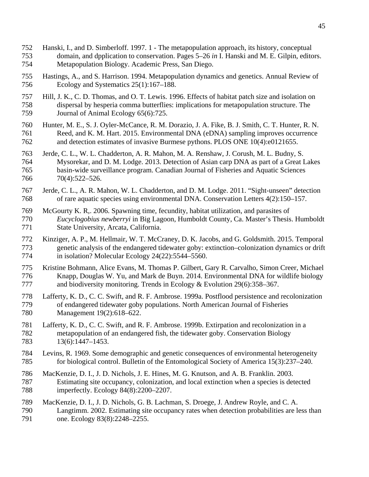- Hanski, I., and D. Simberloff. 1997. 1 The metapopulation approach, its history, conceptual domain, and dpplication to conservation. Pages 5–26 *in* I. Hanski and M. E. Gilpin, editors. Metapopulation Biology. Academic Press, San Diego.
- Hastings, A., and S. Harrison. 1994. Metapopulation dynamics and genetics. Annual Review of Ecology and Systematics 25(1):167–188.
- Hill, J. K., C. D. Thomas, and O. T. Lewis. 1996. Effects of habitat patch size and isolation on dispersal by hesperia comma butterflies: implications for metapopulation structure. The 759 Journal of Animal Ecology 65(6):725.
- Hunter, M. E., S. J. Oyler-McCance, R. M. Dorazio, J. A. Fike, B. J. Smith, C. T. Hunter, R. N. Reed, and K. M. Hart. 2015. Environmental DNA (eDNA) sampling improves occurrence and detection estimates of invasive Burmese pythons. PLOS ONE 10(4):e0121655.
- Jerde, C. L., W. L. Chadderton, A. R. Mahon, M. A. Renshaw, J. Corush, M. L. Budny, S. Mysorekar, and D. M. Lodge. 2013. Detection of Asian carp DNA as part of a Great Lakes basin-wide surveillance program. Canadian Journal of Fisheries and Aquatic Sciences 70(4):522–526.
- Jerde, C. L., A. R. Mahon, W. L. Chadderton, and D. M. Lodge. 2011. "Sight-unseen" detection of rare aquatic species using environmental DNA. Conservation Letters 4(2):150–157.
- McGourty K. R,. 2006. Spawning time, fecundity, habitat utilization, and parasites of *Eucyclogobius newberryi* in Big Lagoon, Humboldt County, Ca. Master's Thesis. Humboldt State University, Arcata, California.
- Kinziger, A. P., M. Hellmair, W. T. McCraney, D. K. Jacobs, and G. Goldsmith. 2015. Temporal 773 genetic analysis of the endangered tidewater goby: extinction–colonization dynamics or drift<br>774 in isolation? Molecular Ecology 24(22):5544–5560. in isolation? Molecular Ecology  $24(22):5544–5560$ .
- Kristine Bohmann, Alice Evans, M. Thomas P. Gilbert, Gary R. Carvalho, Simon Creer, Michael Knapp, Douglas W. Yu, and Mark de Buyn. 2014. Environmental DNA for wildlife biology and biodiversity monitoring. Trends in Ecology & Evolution 29(6):358–367.
- Lafferty, K. D., C. C. Swift, and R. F. Ambrose. 1999a. Postflood persistence and recolonization of endangered tidewater goby populations. North American Journal of Fisheries Management 19(2):618–622.
- Lafferty, K. D., C. C. Swift, and R. F. Ambrose. 1999b. Extirpation and recolonization in a metapopulation of an endangered fish, the tidewater goby. Conservation Biology 13(6):1447–1453.
- Levins, R. 1969. Some demographic and genetic consequences of environmental heterogeneity for biological control. Bulletin of the Entomological Society of America 15(3):237–240.
- MacKenzie, D. I., J. D. Nichols, J. E. Hines, M. G. Knutson, and A. B. Franklin. 2003. Estimating site occupancy, colonization, and local extinction when a species is detected imperfectly. Ecology 84(8):2200–2207.
- MacKenzie, D. I., J. D. Nichols, G. B. Lachman, S. Droege, J. Andrew Royle, and C. A. Langtimm. 2002. Estimating site occupancy rates when detection probabilities are less than 791 one. Ecology 83(8):2248–2255.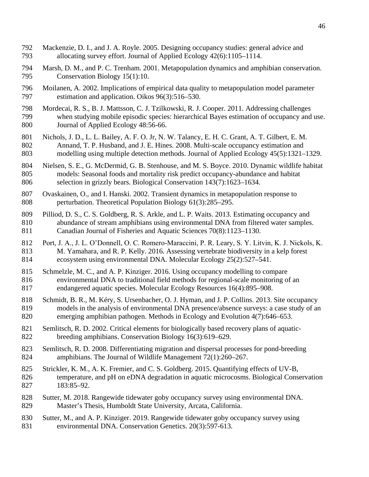- Mackenzie, D. I., and J. A. Royle. 2005. Designing occupancy studies: general advice and allocating survey effort. Journal of Applied Ecology 42(6):1105–1114.
- Marsh, D. M., and P. C. Trenham. 2001. Metapopulation dynamics and amphibian conservation. 795 Conservation Biology 15(1):10.
- Moilanen, A. 2002. Implications of empirical data quality to metapopulation model parameter estimation and application. Oikos 96(3):516–530.
- Mordecai, R. S., B. J. Mattsson, C. J. Tzilkowski, R. J. Cooper. 2011. Addressing challenges when studying mobile episodic species: hierarchical Bayes estimation of occupancy and use. Journal of Applied Ecology 48:56-66.
- Nichols, J. D., L. L. Bailey, A. F. O. Jr, N. W. Talancy, E. H. C. Grant, A. T. Gilbert, E. M. Annand, T. P. Husband, and J. E. Hines. 2008. Multi-scale occupancy estimation and modelling using multiple detection methods. Journal of Applied Ecology 45(5):1321–1329.
- Nielsen, S. E., G. McDermid, G. B. Stenhouse, and M. S. Boyce. 2010. Dynamic wildlife habitat models: Seasonal foods and mortality risk predict occupancy-abundance and habitat selection in grizzly bears. Biological Conservation 143(7):1623–1634.
- Ovaskainen, O., and I. Hanski. 2002. Transient dynamics in metapopulation response to perturbation. Theoretical Population Biology 61(3):285–295.
- Pilliod, D. S., C. S. Goldberg, R. S. Arkle, and L. P. Waits. 2013. Estimating occupancy and abundance of stream amphibians using environmental DNA from filtered water samples. Canadian Journal of Fisheries and Aquatic Sciences 70(8):1123–1130.
- 812 Port, J. A., J. L. O'Donnell, O. C. Romero-Maraccini, P. R. Leary, S. Y. Litvin, K. J. Nickols, K. M. Yamahara, and R. P. Kelly. 2016. Assessing vertebrate biodiversity in a kelp forest ecosystem using environmental DNA. Molecular Ecology 25(2):527–541.
- Schmelzle, M. C., and A. P. Kinziger. 2016. Using occupancy modelling to compare environmental DNA to traditional field methods for regional-scale monitoring of an endangered aquatic species. Molecular Ecology Resources 16(4):895–908.
- Schmidt, B. R., M. Kéry, S. Ursenbacher, O. J. Hyman, and J. P. Collins. 2013. Site occupancy models in the analysis of environmental DNA presence/absence surveys: a case study of an emerging amphibian pathogen. Methods in Ecology and Evolution 4(7):646–653.
- Semlitsch, R. D. 2002. Critical elements for biologically based recovery plans of aquatic-breeding amphibians. Conservation Biology 16(3):619–629.
- Semlitsch, R. D. 2008. Differentiating migration and dispersal processes for pond-breeding amphibians. The Journal of Wildlife Management 72(1):260–267.
- Strickler, K. M., A. K. Fremier, and C. S. Goldberg. 2015. Quantifying effects of UV-B, temperature, and pH on eDNA degradation in aquatic microcosms. Biological Conservation 183:85–92.
- Sutter, M. 2018. Rangewide tidewater goby occupancy survey using environmental DNA. Master's Thesis, Humboldt State University, Arcata, California.
- Sutter, M., and A. P. Kinziger. 2019. Rangewide tidewater goby occupancy survey using environmental DNA. Conservation Genetics. 20(3):597-613.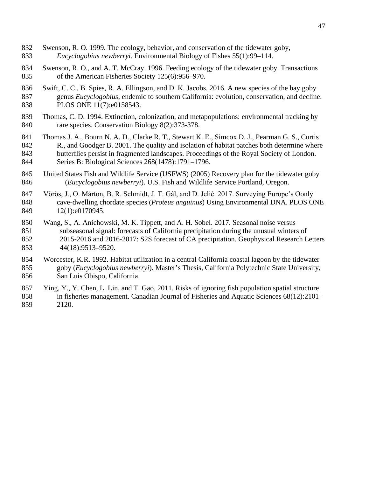- Swenson, R. O. 1999. The ecology, behavior, and conservation of the tidewater goby, *Eucyclogobius newberryi*. Environmental Biology of Fishes 55(1):99–114.
- Swenson, R. O., and A. T. McCray. 1996. Feeding ecology of the tidewater goby. Transactions of the American Fisheries Society 125(6):956–970.
- Swift, C. C., B. Spies, R. A. Ellingson, and D. K. Jacobs. 2016. A new species of the bay goby genus *Eucyclogobius*, endemic to southern California: evolution, conservation, and decline. 838 PLOS ONE 11(7):e0158543.
- Thomas, C. D. 1994. Extinction, colonization, and metapopulations: environmental tracking by rare species. Conservation Biology 8(2):373-378.
- Thomas J. A., Bourn N. A. D., Clarke R. T., Stewart K. E., Simcox D. J., Pearman G. S., Curtis 842 R., and Goodger B. 2001. The quality and isolation of habitat patches both determine where butterflies persist in fragmented landscapes. Proceedings of the Royal Society of London. Series B: Biological Sciences 268(1478):1791–1796.
- United States Fish and Wildlife Service (USFWS) (2005) Recovery plan for the tidewater goby (*Eucyclogobius newberryi*). U.S. Fish and Wildlife Service Portland, Oregon.
- Vörös, J., O. Márton, B. R. Schmidt, J. T. Gál, and D. Jelić. 2017. Surveying Europe's Oonly cave-dwelling chordate species (*Proteus anguinus*) Using Environmental DNA. PLOS ONE 849 12(1):e0170945.
- Wang, S., A. Anichowski, M. K. Tippett, and A. H. Sobel. 2017. Seasonal noise versus subseasonal signal: forecasts of California precipitation during the unusual winters of 2015-2016 and 2016-2017: S2S forecast of CA precipitation. Geophysical Research Letters 44(18):9513–9520.
- Worcester, K.R. 1992. Habitat utilization in a central California coastal lagoon by the tidewater goby (*Eucyclogobius newberryi*). Master's Thesis, California Polytechnic State University, San Luis Obispo, California.
- Ying, Y., Y. Chen, L. Lin, and T. Gao. 2011. Risks of ignoring fish population spatial structure in fisheries management. Canadian Journal of Fisheries and Aquatic Sciences 68(12):2101– 2120.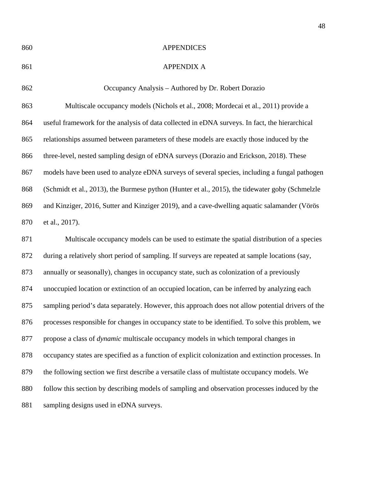## APPENDICES

## APPENDIX A

 Occupancy Analysis – Authored by Dr. Robert Dorazio Multiscale occupancy models (Nichols et al., 2008; Mordecai et al., 2011) provide a useful framework for the analysis of data collected in eDNA surveys. In fact, the hierarchical relationships assumed between parameters of these models are exactly those induced by the three-level, nested sampling design of eDNA surveys (Dorazio and Erickson, 2018). These models have been used to analyze eDNA surveys of several species, including a fungal pathogen (Schmidt et al., 2013), the Burmese python (Hunter et al., 2015), the tidewater goby (Schmelzle and Kinziger, 2016, Sutter and Kinziger 2019), and a cave-dwelling aquatic salamander (Vörös et al., 2017).

 Multiscale occupancy models can be used to estimate the spatial distribution of a species during a relatively short period of sampling. If surveys are repeated at sample locations (say, annually or seasonally), changes in occupancy state, such as colonization of a previously unoccupied location or extinction of an occupied location, can be inferred by analyzing each sampling period's data separately. However, this approach does not allow potential drivers of the processes responsible for changes in occupancy state to be identified. To solve this problem, we propose a class of *dynamic* multiscale occupancy models in which temporal changes in occupancy states are specified as a function of explicit colonization and extinction processes. In the following section we first describe a versatile class of multistate occupancy models. We follow this section by describing models of sampling and observation processes induced by the sampling designs used in eDNA surveys.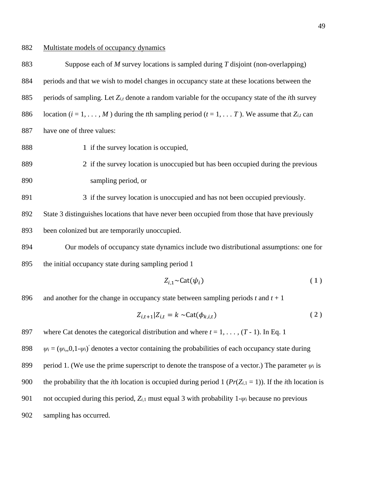## 882 Multistate models of occupancy dynamics

 Suppose each of *M* survey locations is sampled during *T* disjoint (non-overlapping) periods and that we wish to model changes in occupancy state at these locations between the periods of sampling. Let *Zi,t* denote a random variable for the occupancy state of the *i*th survey 886 location ( $i = 1, \ldots, M$ ) during the *t*th sampling period ( $t = 1, \ldots, T$ ). We assume that  $Z_{i,t}$  can have one of three values:

888 1 if the survey location is occupied,

889 2 if the survey location is unoccupied but has been occupied during the previous 890 sampling period, or

891 3 if the survey location is unoccupied and has not been occupied previously.

892 State 3 distinguishes locations that have never been occupied from those that have previously

893 been colonized but are temporarily unoccupied.

894 Our models of occupancy state dynamics include two distributional assumptions: one for 895 the initial occupancy state during sampling period 1

$$
Z_{i,1} \sim \text{Cat}(\psi_i) \tag{1}
$$

896 and another for the change in occupancy state between sampling periods  $t$  and  $t + 1$ 

$$
Z_{i,t+1}|Z_{i,t} = k \sim \text{Cat}(\phi_{k,i,t})
$$
\n(2)

897 where Cat denotes the categorical distribution and where  $t = 1, \ldots, (T - 1)$ . In Eq. 1

*g*<sup>*i*</sup> *w*<sub>*i*</sub> = ( $\psi$ *i*, 0,1- $\psi$ *i*)<sup>'</sup> denotes a vector containing the probabilities of each occupancy state during 899 period 1. (We use the prime superscript to denote the transpose of a vector.) The parameter  $\psi_i$  is 900 the probability that the *i*th location is occupied during period 1 ( $Pr(Z_{i,1} = 1)$ ). If the *i*th location is 901 not occupied during this period,  $Z_{i,1}$  must equal 3 with probability 1- $\psi_i$  because no previous 902 sampling has occurred.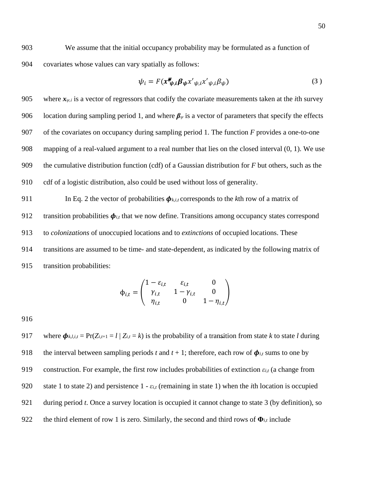903 We assume that the initial occupancy probability may be formulated as a function of 904 covariates whose values can vary spatially as follows:

$$
\psi_i = F(x \mathbf{w}_{\psi,i} \mathbf{\beta}_{\psi} x'_{\psi,i} x'_{\psi,i} \beta_{\psi})
$$
\n(3)

905 where  $x_{\psi,i}$  is a vector of regressors that codify the covariate measurements taken at the *i*th survey 906 location during sampling period 1, and where  $\beta_{\psi}$  is a vector of parameters that specify the effects of the covariates on occupancy during sampling period 1. The function *F* provides a one-to-one mapping of a real-valued argument to a real number that lies on the closed interval (0*,* 1). We use the cumulative distribution function (cdf) of a Gaussian distribution for *F* but others, such as the cdf of a logistic distribution, also could be used without loss of generality.

911 In Eq. 2 the vector of probabilities  $\phi_{k,i,t}$  corresponds to the *k*th row of a matrix of 912 transition probabilities  $\phi_{i,t}$  that we now define. Transitions among occupancy states correspond 913 to *colonizations* of unoccupied locations and to *extinctions* of occupied locations. These 914 transitions are assumed to be time- and state-dependent, as indicated by the following matrix of 915 transition probabilities:

$$
\phi_{i,t} = \begin{pmatrix}\n1 - \varepsilon_{i,t} & \varepsilon_{i,t} & 0 \\
\gamma_{i,t} & 1 - \gamma_{i,t} & 0 \\
\eta_{i,t} & 0 & 1 - \eta_{i,t}\n\end{pmatrix}
$$

916

917 where  $\phi_{k,l,i,t} = \Pr(Z_{i,t+1} = l \mid Z_{i,t} = k)$  is the probability of a transition from state *k* to state *l* during 918 the interval between sampling periods *t* and  $t + 1$ ; therefore, each row of  $\phi_{i,t}$  sums to one by 919 construction. For example, the first row includes probabilities of extinction  $\varepsilon_{i,t}$  (a change from 920 state 1 to state 2) and persistence 1 - *εi,t* (remaining in state 1) when the *i*th location is occupied 921 during period *t*. Once a survey location is occupied it cannot change to state 3 (by definition), so 922 the third element of row 1 is zero. Similarly, the second and third rows of  $\Phi$ <sub>*i,t*</sub> include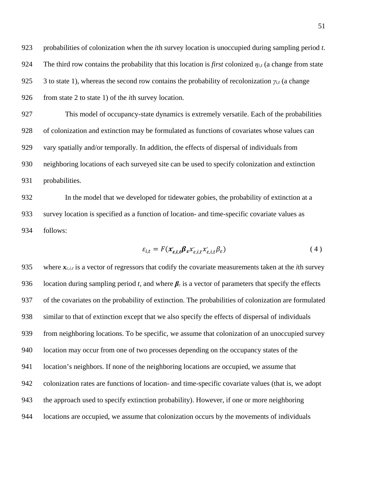probabilities of colonization when the *i*th survey location is unoccupied during sampling period *t*. 924 The third row contains the probability that this location is *first* colonized  $\eta_{i,t}$  (a change from state 925 3 to state 1), whereas the second row contains the probability of recolonization  $\gamma_{i,t}$  (a change from state 2 to state 1) of the *i*th survey location.

 This model of occupancy-state dynamics is extremely versatile. Each of the probabilities of colonization and extinction may be formulated as functions of covariates whose values can vary spatially and/or temporally. In addition, the effects of dispersal of individuals from neighboring locations of each surveyed site can be used to specify colonization and extinction probabilities.

 In the model that we developed for tidewater gobies, the probability of extinction at a survey location is specified as a function of location- and time-specific covariate values as follows:

$$
\varepsilon_{i,t} = F(\mathbf{x}_{\varepsilon,i,t}^* \mathbf{\beta}_{\varepsilon} \mathbf{x}_{\varepsilon,i,t}^* \mathbf{x}_{\varepsilon,i,t}^* \mathbf{\beta}_{\varepsilon})
$$
(4)

935 where  $\mathbf{x}_{\varepsilon,i,t}$  is a vector of regressors that codify the covariate measurements taken at the *i*th survey 936 location during sampling period *t*, and where  $\beta_{\varepsilon}$  is a vector of parameters that specify the effects of the covariates on the probability of extinction. The probabilities of colonization are formulated similar to that of extinction except that we also specify the effects of dispersal of individuals from neighboring locations. To be specific, we assume that colonization of an unoccupied survey location may occur from one of two processes depending on the occupancy states of the location's neighbors. If none of the neighboring locations are occupied, we assume that colonization rates are functions of location- and time-specific covariate values (that is, we adopt the approach used to specify extinction probability). However, if one or more neighboring locations are occupied, we assume that colonization occurs by the movements of individuals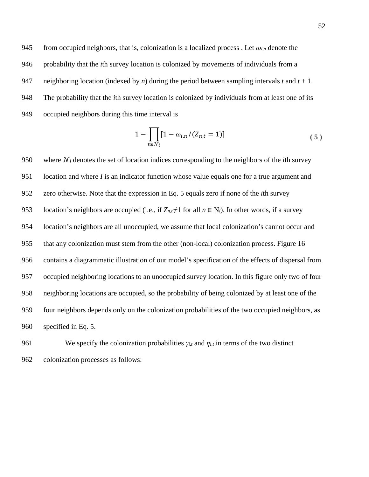945 from occupied neighbors, that is, colonization is a localized process. Let  $\omega_{i,n}$  denote the probability that the *i*th survey location is colonized by movements of individuals from a neighboring location (indexed by *n*) during the period between sampling intervals *t* and *t* + 1. The probability that the *i*th survey location is colonized by individuals from at least one of its occupied neighbors during this time interval is

$$
1 - \prod_{n \in \mathcal{N}_i} [1 - \omega_{i,n} I(Z_{n,t} = 1)] \tag{5}
$$

950 where  $\mathcal{N}_i$  denotes the set of location indices corresponding to the neighbors of the *i*th survey location and where *I* is an indicator function whose value equals one for a true argument and zero otherwise. Note that the expression in Eq. 5 equals zero if none of the *i*th survey 953 location's neighbors are occupied (i.e., if  $Z_{n,t} \neq 1$  for all  $n \in N_i$ ). In other words, if a survey location's neighbors are all unoccupied, we assume that local colonization's cannot occur and that any colonization must stem from the other (non-local) colonization process. [Figure 16](#page-76-0) contains a diagrammatic illustration of our model's specification of the effects of dispersal from occupied neighboring locations to an unoccupied survey location. In this figure only two of four neighboring locations are occupied, so the probability of being colonized by at least one of the four neighbors depends only on the colonization probabilities of the two occupied neighbors, as specified in Eq. 5.

961 We specify the colonization probabilities  $\gamma_{i,t}$  and  $\eta_{i,t}$  in terms of the two distinct colonization processes as follows: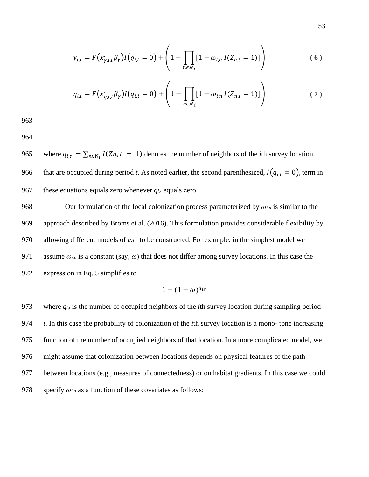$$
\gamma_{i,t} = F(x_{\gamma,i,t}'\beta_{\gamma})I(q_{i,t} = 0) + \left(1 - \prod_{n \in \mathcal{N}_i} [1 - \omega_{i,n} I(Z_{n,t} = 1)]\right)
$$
(6)

$$
\eta_{i,t} = F(x_{\eta,i,t}'\beta_Y)I(q_{i,t} = 0) + \left(1 - \prod_{n \in \mathcal{N}_i} [1 - \omega_{i,n} I(Z_{n,t} = 1)]\right) \tag{7}
$$

964

965 where  $q_{i,t} = \sum_{n \in N_i} I(Zn, t = 1)$  denotes the number of neighbors of the *i*th survey location 966 that are occupied during period *t*. As noted earlier, the second parenthesized,  $I(q_{i,t} = 0)$ , term in 967 these equations equals zero whenever  $q_{i,t}$  equals zero.

968 Our formulation of the local colonization process parameterized by  $\omega_{i,n}$  is similar to the 969 approach described by Broms et al. (2016). This formulation provides considerable flexibility by 970 allowing different models of *ωi,n* to be constructed. For example, in the simplest model we 971 assume  $\omega_{i,n}$  is a constant (say,  $\omega$ ) that does not differ among survey locations. In this case the 972 expression in Eq. 5 simplifies to

$$
1-(1-\omega)^{q_{i,t}}
$$

 where *qi,t* is the number of occupied neighbors of the *i*th survey location during sampling period *t*. In this case the probability of colonization of the *i*th survey location is a mono- tone increasing function of the number of occupied neighbors of that location. In a more complicated model, we might assume that colonization between locations depends on physical features of the path between locations (e.g., measures of connectedness) or on habitat gradients. In this case we could 978 specify  $\omega_{i,n}$  as a function of these covariates as follows: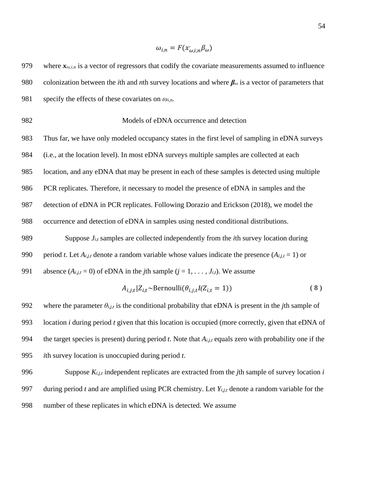$$
\omega_{i,n} = F(x'_{\omega,i,n} \beta_{\omega})
$$

979 where  $x_{\omega,i,n}$  is a vector of regressors that codify the covariate measurements assumed to influence colonization between the *i*th and *n*th survey locations and where *β<sup>ω</sup>* is a vector of parameters that specify the effects of these covariates on *ωi,n*. Models of eDNA occurrence and detection Thus far, we have only modeled occupancy states in the first level of sampling in eDNA surveys (i.e., at the location level). In most eDNA surveys multiple samples are collected at each location, and any eDNA that may be present in each of these samples is detected using multiple PCR replicates. Therefore, it necessary to model the presence of eDNA in samples and the detection of eDNA in PCR replicates. Following Dorazio and Erickson (2018), we model the occurrence and detection of eDNA in samples using nested conditional distributions. Suppose *Ji,t* samples are collected independently from the *i*th survey location during 990 period *t*. Let  $A_{i,j,t}$  denote a random variable whose values indicate the presence  $(A_{i,j,t} = 1)$  or 991 absence  $(A_{i,j,t} = 0)$  of eDNA in the *j*th sample  $(j = 1, \ldots, J_{i,t})$ . We assume  $A_{i,i,t} | Z_{i,t} \sim \text{Bernoulli}(\theta_{i,i,t} I(Z_{i,t} = 1))$  (8) 992 where the parameter  $\theta_{i,j,t}$  is the conditional probability that eDNA is present in the *j*th sample of location *i* during period *t* given that this location is occupied (more correctly, given that eDNA of the target species is present) during period *t*. Note that *Ai,j,t* equals zero with probability one if the

995 *ith survey location is unoccupied during period 
$$
t
$$
.*

 Suppose *Ki,j,t* independent replicates are extracted from the *j*th sample of survey location *i*  during period *t* and are amplified using PCR chemistry. Let *Yi,j,t* denote a random variable for the number of these replicates in which eDNA is detected. We assume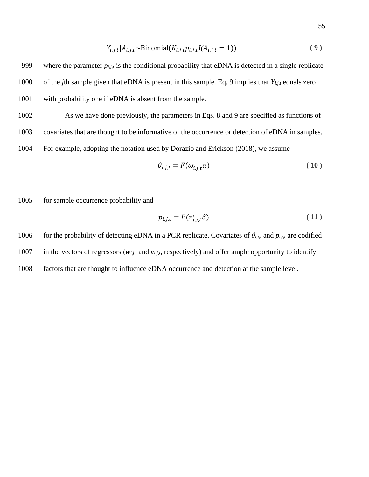$$
Y_{i,j,t} | A_{i,j,t} \sim \text{Binomial}(K_{i,j,t} p_{i,j,t} I(A_{i,j,t} = 1))
$$
\n<sup>(9)</sup>

999 where the parameter *pi,j,t* is the conditional probability that eDNA is detected in a single replicate 1000 of the *j*th sample given that eDNA is present in this sample. Eq. 9 implies that *Yi,j,t* equals zero 1001 with probability one if eDNA is absent from the sample.

1002 As we have done previously, the parameters in Eqs. 8 and 9 are specified as functions of 1003 covariates that are thought to be informative of the occurrence or detection of eDNA in samples. 1004 For example, adopting the notation used by Dorazio and Erickson (2018), we assume

$$
\theta_{i,j,t} = F(\omega_{i,j,t}^{\prime}\alpha) \tag{10}
$$

1005 for sample occurrence probability and

$$
p_{i,j,t} = F(v_{i,j,t} \delta) \tag{11}
$$

1006 for the probability of detecting eDNA in a PCR replicate. Covariates of  $\theta_{i,j,t}$  and  $p_{i,j,t}$  are codified

1007 in the vectors of regressors ( $w_{i,j,t}$  and  $v_{i,j,t}$ , respectively) and offer ample opportunity to identify

1008 factors that are thought to influence eDNA occurrence and detection at the sample level.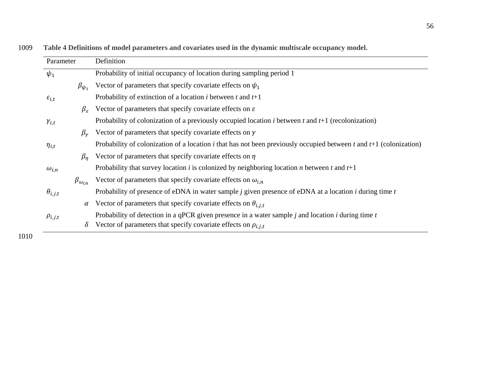| Parameter           |                        | Definition                                                                                                           |  |  |  |  |
|---------------------|------------------------|----------------------------------------------------------------------------------------------------------------------|--|--|--|--|
| $\psi_1$            |                        | Probability of initial occupancy of location during sampling period 1                                                |  |  |  |  |
|                     | $\beta_{\psi_1}$       | Vector of parameters that specify covariate effects on $\psi_1$                                                      |  |  |  |  |
| $\varepsilon_{i,t}$ |                        | Probability of extinction of a location <i>i</i> between <i>t</i> and $t+1$                                          |  |  |  |  |
|                     | $\beta_{\varepsilon}$  | Vector of parameters that specify covariate effects on $\varepsilon$                                                 |  |  |  |  |
| $\gamma_{i,t}$      |                        | Probability of colonization of a previously occupied location $i$ between $t$ and $t+1$ (recolonization)             |  |  |  |  |
|                     | $\beta_{\nu}$          | Vector of parameters that specify covariate effects on $\gamma$                                                      |  |  |  |  |
| $\eta_{i,t}$        |                        | Probability of colonization of a location i that has not been previously occupied between t and $t+1$ (colonization) |  |  |  |  |
|                     | $\beta_n$              | Vector of parameters that specify covariate effects on $\eta$                                                        |  |  |  |  |
| $\omega_{i,n}$      |                        | Probability that survey location <i>i</i> is colonized by neighboring location <i>n</i> between <i>t</i> and $t+1$   |  |  |  |  |
|                     | $\beta_{\omega_{i,n}}$ | Vector of parameters that specify covariate effects on $\omega_{i,n}$                                                |  |  |  |  |
| $\theta_{i,j,t}$    |                        | Probability of presence of eDNA in water sample $j$ given presence of eDNA at a location $i$ during time $t$         |  |  |  |  |
|                     | $\alpha$               | Vector of parameters that specify covariate effects on $\theta_{i,i,t}$                                              |  |  |  |  |
| $\rho_{i,j,t}$      |                        | Probability of detection in a qPCR given presence in a water sample $j$ and location $i$ during time $t$             |  |  |  |  |
|                     | $\delta$               | Vector of parameters that specify covariate effects on $\rho_{i,j,t}$                                                |  |  |  |  |

1009 **Table 4 Definitions of model parameters and covariates used in the dynamic multiscale occupancy model.**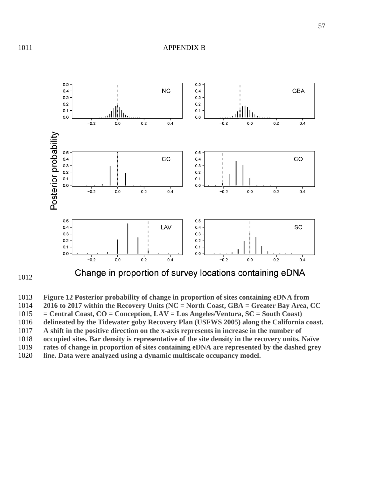

 **Figure 12 Posterior probability of change in proportion of sites containing eDNA from 2016 to 2017 within the Recovery Units (NC = North Coast, GBA = Greater Bay Area, CC = Central Coast, CO = Conception, LAV = Los Angeles/Ventura, SC = South Coast) delineated by the Tidewater goby Recovery Plan (USFWS 2005) along the California coast. A shift in the positive direction on the x-axis represents in increase in the number of occupied sites. Bar density is representative of the site density in the recovery units. Naïve rates of change in proportion of sites containing eDNA are represented by the dashed grey line. Data were analyzed using a dynamic multiscale occupancy model.**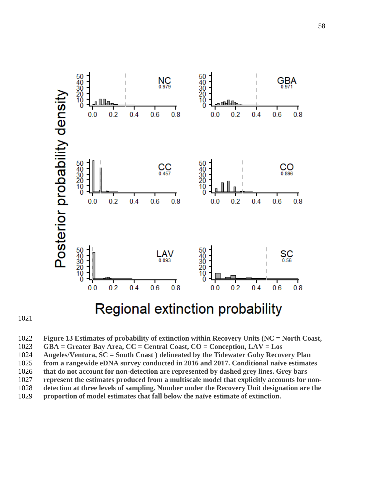



 **Figure 13 Estimates of probability of extinction within Recovery Units (NC = North Coast, GBA = Greater Bay Area, CC = Central Coast, CO = Conception, LAV = Los Angeles/Ventura, SC = South Coast ) delineated by the Tidewater Goby Recovery Plan from a rangewide eDNA survey conducted in 2016 and 2017. Conditional naïve estimates that do not account for non-detection are represented by dashed grey lines. Grey bars represent the estimates produced from a multiscale model that explicitly accounts for non- detection at three levels of sampling. Number under the Recovery Unit designation are the proportion of model estimates that fall below the naïve estimate of extinction.**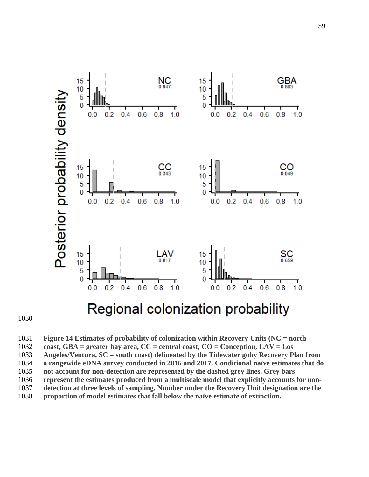

 **Figure 14 Estimates of probability of colonization within Recovery Units (NC = north coast, GBA = greater bay area, CC = central coast, CO = Conception, LAV = Los Angeles/Ventura, SC = south coast) delineated by the Tidewater goby Recovery Plan from a rangewide eDNA survey conducted in 2016 and 2017. Conditional naïve estimates that do not account for non-detection are represented by the dashed grey lines. Grey bars represent the estimates produced from a multiscale model that explicitly accounts for non- detection at three levels of sampling. Number under the Recovery Unit designation are the proportion of model estimates that fall below the naïve estimate of extinction.**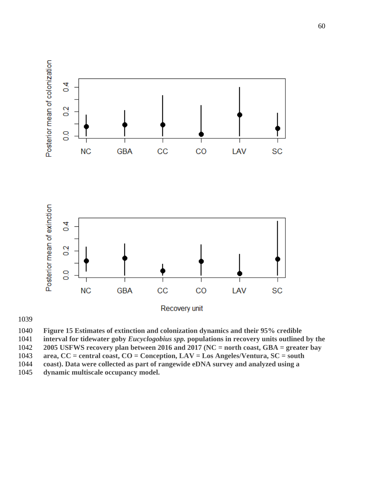

**Figure 15 Estimates of extinction and colonization dynamics and their 95% credible** 

**interval for tidewater goby** *Eucyclogobius spp.* **populations in recovery units outlined by the** 

**2005 USFWS recovery plan between 2016 and 2017 (NC = north coast, GBA = greater bay** 

**area, CC = central coast, CO = Conception, LAV = Los Angeles/Ventura, SC = south** 

**coast). Data were collected as part of rangewide eDNA survey and analyzed using a** 

**dynamic multiscale occupancy model.**